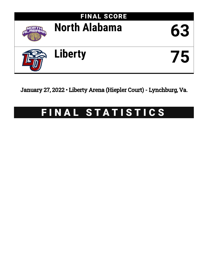

January 27, 2022 • Liberty Arena (Hiepler Court) - Lynchburg, Va.

# FINAL STATISTICS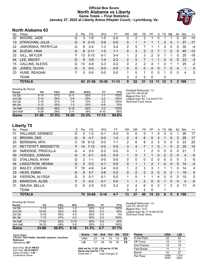# **Official Box Score North Alabama vs Liberty Game Totals -- Final Statistics January 27, 2022 at Liberty Arena (Hiepler Court) - Lynchburg, Va.**



# **North Alabama 63**

| No. | Plaver                 | S  | <b>Pts</b> | FG.      | 3FG       | FТ        | 0 <sub>R</sub> | DR | TR | РF       | A  | TO | <b>Blk</b> | Stl      | Min | $+/-$        |
|-----|------------------------|----|------------|----------|-----------|-----------|----------------|----|----|----------|----|----|------------|----------|-----|--------------|
| 02  | MOORE, JADE            | G  | 3          | $1 - 6$  | $1-5$     | $0-0$     | 0              | 2  | 2  |          | 0  |    |            | 0        | 25  | $-14$        |
| 13  | STRACHAN, JULIA        | G  | 9          | $3 - 10$ | $3-9$     | $0 - 0$   | 0              |    |    |          |    | 3  | $\Omega$   |          | 27  | $-11$        |
| 22  | JAWORSKA, PATRYCJA     | G  | 8          | $2 - 4$  | $1 - 3$   | $3 - 4$   | 2              | 5  |    |          |    | 2  | $\Omega$   | 0        | 30  | $-4$         |
| 24  | SUZUKI, HINA           | G  | 8          | $3 - 11$ | $1 - 5$   | $1 - 1$   | 0              | 3  | 3  | 2        |    |    | $\Omega$   | $\Omega$ | 40  | $-12$        |
| 32  | GILL, SKYLER           | F  | 13         | $5 - 10$ | $0 - 1$   | $3 - 4$   | 1              | 2  | 3  | 2        | 0  |    |            | $\Omega$ | 25  | $-19$        |
| 04  | LEE, MACEY             | G  | 9          | $3-9$    | $1 - 4$   | $2 - 2$   | 2              | 5  |    |          |    | 0  | $\Omega$   | 0        | 23  | -3           |
| 15  | <b>CALLINS, ALEXIS</b> | G  | 13         | $4-6$    | $3 - 3$   | $2 - 2$   | 0              | 2  | 2  | 4        |    | 2  |            |          | 25  | $-2$         |
| 20  | JONES, OLIVIA          | G  | 0          | $0 - 0$  | $0 - 0$   | $0 - 0$   | 0              | 0  | 0  | $\Omega$ | 0  |    | $\Omega$   | 0        | 1   | $\mathbf{0}$ |
| 23  | HUNE, REAGAN           | F. | 0          | $0-0$    | $0 - 0$   | $0 - 0$   |                | 0  | 1  | 0        | 0  |    | 0          | 0        | 4   | 5            |
|     | <b>TEAM</b>            |    |            |          |           |           | 3              | 2  | 5  | 0        |    | 0  |            |          |     |              |
|     | <b>TOTALS</b>          |    |            | 63 21-56 | $10 - 30$ | $11 - 13$ | 9              | 22 | 31 | $12-$    | 11 | 12 | 3          | 2        | 199 |              |

| <b>Shooting By Period</b> |           |       |           |       |           |       |
|---------------------------|-----------|-------|-----------|-------|-----------|-------|
| Period                    | FG        | FG%   | 3FG       | 3FG%  | FT        | FT%   |
| 1st Qtr                   | $8 - 14$  | 57%   | $6 - 11$  | 55%   | 1-1       | 100%  |
| 2nd Qtr                   | $5 - 14$  | 36%   | $2 - 8$   | 25%   | $2 - 2$   | 100%  |
| 3rd Qtr                   | $5 - 16$  | 31%   | $1 - 8$   | 13%   | $2 - 2$   | 100%  |
| 4th Qtr                   | $3 - 12$  | 25%   | $1 - 3$   | 33%   | $6 - 8$   | 75%   |
| 1st Half                  | $13 - 28$ | 46%   | $8 - 19$  | 42%   | $3 - 3$   | 100%  |
| 2nd Half                  | $8 - 28$  | 29%   | $2 - 11$  | 18%   | $8 - 10$  | 80%   |
| Game                      | 21-56     | 37.5% | $10 - 30$ | 33.3% | $11 - 13$ | 84.6% |

*Deadball Rebounds:* 1,0 *Last FG:* 4th-02:02 *Biggest Run:* 9-0 *Largest lead:* By 7 at 2nd-07:51 *Technical Fouls:* None.

# **Liberty 75**

| No. | Player                      | S  | <b>Pts</b> | FG       | 3FG      | FT      | <b>OR</b>      | DR       | TR           | PF            | A        | TO             | <b>B</b> lk   | Stl            | Min            | $+/-$ |
|-----|-----------------------------|----|------------|----------|----------|---------|----------------|----------|--------------|---------------|----------|----------------|---------------|----------------|----------------|-------|
| 01  | WILLIAMS, KENNEDI           | G  | 2          | $1 - 2$  | $0 - 1$  | $0-0$   | 0              | 0        | $\mathbf{0}$ |               | 5        | 0              | 0             |                | 26             | 17    |
| 12  | <b>BROWN, DEE</b>           | G  | 9          | $4 - 7$  | $0 - 0$  | $1 - 2$ | $\overline{2}$ | 4        | 6            | $\Omega$      | 4        |                | 0             | 2              | 26             | 17    |
| 20  | <b>BERKMAN, MYA</b>         | С  | 19         | $9 - 12$ | $0 - 0$  | $1 - 1$ | $\overline{2}$ | 6        | 8            | $\mathcal{P}$ | 3        | 0              | $\Omega$      | $\Omega$       | 23             | 20    |
| 21  | <b>RETTSTATT, BRIDGETTE</b> | F  | 14         | $7 - 12$ | $0 - 0$  | $0 - 0$ | 3              | 4        |              |               | 5        |                | 0             | $\overline{2}$ | 25             | 15    |
| 30  | SMEENGE, PRISCILLA          | G  | 4          | $2 - 5$  | $0 - 2$  | $0 - 0$ | 0              |          |              | 2             | 0        | 0              | 0             | 0              | 21             | 7     |
| 00  | <b>HODGES, JORDAN</b>       | G  | $\Omega$   | $0 - 1$  | $0 - 0$  | $0 - 0$ | 1.             | $\Omega$ |              |               | $\Omega$ | $\overline{2}$ | $\Omega$      | $\Omega$       | $\overline{4}$ | $-5$  |
| 02  | STALLINGS, NYAH             | G  | 2          | $1 - 1$  | $0 - 0$  | $0 - 0$ | 0              | 0        | $\mathbf{0}$ | 0             | $\Omega$ | 0              | 0             | $\Omega$       | 3              | -5    |
| 04  | LINDSTROM, NENNA            | G  | $\Omega$   | $0 - 2$  | $0 - 1$  | $0 - 0$ | $\mathbf{0}$   |          | 1            | $\mathcal{P}$ |          | 0              | $\mathbf{0}$  | $\Omega$       | 14             | $-5$  |
| 22  | <b>BAILEY, JORDAN</b>       | F. | 10         | $4 - 9$  | $2 - 4$  | $0 - 0$ | 1.             | 2        | 3            | 3             | 1        |                |               | 0              | 14             | 4     |
| 23  | <b>HESS, EMMA</b>           | G  | 9          | $3 - 7$  | $3-6$    | $0 - 2$ | 0              | 2        | 2            | 2             | 0        | 0              | $\mathcal{P}$ | 1              | 19             | 5     |
| 24  | <b>IVERSON, ALYSSA</b>      | G  | 0          | $0 - 1$  | $0 - 1$  | $0 - 0$ | 1              | 0        |              |               | 4        | 0              | $\mathbf{0}$  | 0              | 10             | 0     |
| 25  | MARKOVA, ALISE              | F  | $\Omega$   | $0 - 2$  | $0 - 1$  | $0 - 0$ | 1.             | 1        | 2            | $\Omega$      | $\Omega$ |                | $\Omega$      | $\Omega$       | $\overline{4}$ | $-5$  |
| 31  | SMUDA, BELLA                | С  | 6          | $2 - 5$  | $0 - 0$  | $2 - 2$ | 2              | 4        | 6            | 0             | $\Omega$ |                | 2             | $\Omega$       | 11             | $-5$  |
|     | <b>TEAM</b>                 |    |            |          |          |         | 0              | 2        | 2            | $\Omega$      |          |                |               |                |                |       |
|     | <b>TOTALS</b>               |    | 75         | 33-66    | $5 - 16$ | $4 - 7$ | 13             | 27       | 40           | 15            | 23       | 8              | 5             | 6              | 199            |       |

| <b>Shooting By Period</b> |           |       |          |        |         |       | Deadball Rebounds: 1.0           |
|---------------------------|-----------|-------|----------|--------|---------|-------|----------------------------------|
| Period                    | FG        | FG%   | 3FG      | 3FG%   | FT      | FT%   | Last FG: 4th-01:42               |
| 1st Qtr                   | $7-13$    | 54%   | $1-2$    | 50%    | $2 - 2$ | 100%  | Biggest Run: 12-0                |
| 2nd Qtr                   | $10 - 20$ | 50%   | 4-8      | 50%    | $0 - 3$ | 00%   | Largest lead: By 17 at 4th-05:22 |
| 3rd Qtr                   | $9 - 18$  | 50%   | $0 - 3$  | $00\%$ | $0-0$   | 0%    | Technical Fouls: None.           |
| 4th Qtr                   | $7 - 15$  | 47%   | $0 - 3$  | $00\%$ | $2 - 2$ | 100%  |                                  |
| 1st Half                  | $17 - 33$ | 52%   | $5 - 10$ | 50%    | $2 - 5$ | 40%   |                                  |
| 2nd Half                  | 16-33     | 48%   | $0 - 6$  | 00%    | $2 - 2$ | 100%  |                                  |
| Game                      | $33 - 66$ | 50.0% | $5 - 16$ | 31.3%  | $4 - 7$ | 57.1% |                                  |

| Game Notes:                                                            | <b>Score</b>                                    |    | 1st 2nd 3rd     |    |    | 4th TOT | <b>Points</b>     | <b>UNA</b>     | LIB            |
|------------------------------------------------------------------------|-------------------------------------------------|----|-----------------|----|----|---------|-------------------|----------------|----------------|
| Officials: Toni Patillo, Danielle Jackson, Courtney<br><b>Robinson</b> | UNA                                             | 23 | 14              | 13 | 13 | 63      | In the Paint      | 22             | 52             |
| Attendance: 687                                                        | LIB                                             |    | 24              | 18 | 16 | 75      | Off Turns         |                | 13             |
|                                                                        |                                                 |    |                 |    |    |         | 2nd Chance        |                | 15             |
| Start Time: 03:31 PM ET<br>End Time: 05:16 PM ET                       | UNA led for 11:20. LIB led for 27:08.           |    |                 |    |    |         | <b>Fast Break</b> |                |                |
| Game Duration: 1:45                                                    | Game was tied for 1:19.<br>Times tied: <b>1</b> |    | Lead Changes: 2 |    |    |         | Bench             | 22             | 27             |
| Conference Game:                                                       |                                                 |    |                 |    |    |         | Per Poss          | 0.969<br>26/65 | 1.210<br>35/62 |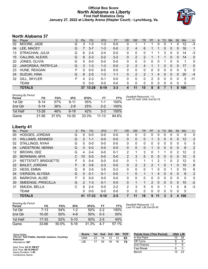## **Official Box Score North Alabama vs Liberty First Half Statistics Only January 27, 2022 at Liberty Arena (Hiepler Court) - Lynchburg, Va.**



# **North Alabama 37**

|     | <b>TOTALS</b>          |   | 37           | $13 - 28$ | $8 - 19$ | $3 - 3$   |                | 11        | 15            | 8         | 8        |               |            | 0            | 100         |              |
|-----|------------------------|---|--------------|-----------|----------|-----------|----------------|-----------|---------------|-----------|----------|---------------|------------|--------------|-------------|--------------|
|     | TEAM                   |   | 0            | $0 - 0$   | $0 - 0$  | $0 - 0$   | 0              | 0         | 0             | $\Omega$  | 0        | 0             | $\Omega$   | 0            | $\mathbf 0$ |              |
| 32  | GILL, SKYLER           | F | 4            | $2 - 3$   | $0 - 1$  | $0 - 0$   | 0              | $\Omega$  | 0             | 2         | $\Omega$ | $\Omega$      | $\Omega$   | 0            | 5           | -11          |
| 24  | SUZUKI, HINA           | G | 6            | $2 - 5$   | $1 - 3$  | $1 - 1$   | 0              | 2         | $\mathcal{P}$ |           | 4        | $\Omega$      | $\Omega$   | $\Omega$     | 20          | $-4$         |
| 23  | HUNE, REAGAN           | F | 0            | $0 - 0$   | $0 - 0$  | $0 - 0$   | 0              | 0         | 0             | 0         | 0        | 0             | $\Omega$   | 0            | 0           | $\mathbf{0}$ |
| 22  | JAWORSKA, PATRYCJA     | G | 3            | $1 - 3$   | $1 - 3$  | $0 - 0$   | $\overline{2}$ | 2         | 4             |           |          | $\mathcal{P}$ | $\Omega$   | 0            | 17          | $\mathbf{0}$ |
| 20  | JONES, OLIVIA          | G | $\mathbf{0}$ | $0 - 0$   | $0 - 0$  | $0 - 0$   | 0              | 0         | 0             | 0         | 0        |               | 0          | 0            | 1           | 0            |
| 15  | <b>CALLINS, ALEXIS</b> | G | 8            | $2 - 3$   | $2 - 2$  | $2 - 2$   | 0              | 2         | 2             |           |          |               | $\Omega$   | $\mathbf{0}$ | 14          | $\mathbf{0}$ |
| 13  | STRACHAN, JULIA        | G | 6            | $2 - 4$   | 2-4      | $0 - 0$   | 0              | 0         | 0             |           |          | 3             | 0          | 0            | 14          | -3           |
| 04  | LEE, MACEY             | G |              | $3 - 7$   | $1 - 3$  | $0-0$     | $\overline{2}$ | 4         | 6             |           |          | 0             | 0          | 0            | 16          | 1            |
| 02  | MOORE, JADE            | G | 3            | $1 - 3$   | 1-3      | $0-0$     | 0              |           |               |           | 0        | 0             |            | 0            | 12          | $-3$         |
| No. | Player                 | S | <b>Pts</b>   | FG        | 3FG      | <b>FT</b> | 0R             | <b>DR</b> | TR            | <b>PF</b> | A        | TO            | <b>Blk</b> | Stl          | Min         | $+/-$        |

| <b>Shooting By Period</b><br>Period | FG        | FG%   | 3FG       | 3FG%  | FT        | FT%   | Deadball Rebounds: 1,0<br>Last FG Half: UNA 2nd-02:19 |
|-------------------------------------|-----------|-------|-----------|-------|-----------|-------|-------------------------------------------------------|
| 1st Qtr                             | $8 - 14$  | 57%   | $6 - 11$  | 55%   | $1 - 1$   | 100%  |                                                       |
| 2nd Otr                             | $5 - 14$  | 36%   | $2 - 8$   | 25%   | $2 - 2$   | 100%  |                                                       |
| 1st Half                            | $13 - 28$ | 46%   | $8 - 19$  | 42%   | $3-3$     | 100%  |                                                       |
| Game                                | 21-56     | 37.5% | $10 - 30$ | 33.3% | $11 - 13$ | 84.6% |                                                       |

# **Liberty 41**

| No. | Player                   | S  | Pts           | FG        | 3FG      | <b>FT</b> | <b>OR</b>      | <b>DR</b>      | <b>TR</b>    | PF            | A        | <b>TO</b> | <b>Blk</b>   | Stl            | Min          | $+/-$          |
|-----|--------------------------|----|---------------|-----------|----------|-----------|----------------|----------------|--------------|---------------|----------|-----------|--------------|----------------|--------------|----------------|
| 00  | HODGES, JORDAN           | G  | 0             | $0 - 0$   | $0-0$    | $0-0$     | 0              | 0              | $\mathbf{0}$ | 0             | 0        | 0         | 0            | 0              | 0            | 0              |
| 01  | <b>WILLIAMS, KENNEDI</b> | G  | $\mathcal{P}$ | $1 - 1$   | $0 - 0$  | $0 - 0$   | $\mathbf{0}$   | 0              | $\mathbf{0}$ |               | 3        | 0         | $\mathbf{0}$ | 0              | 12           | $\overline{2}$ |
| 02  | STALLINGS, NYAH          | G  | 0             | $0 - 0$   | $0 - 0$  | $0 - 0$   | $\Omega$       | $\mathbf{0}$   | $\Omega$     | 0             | 0        | 0         | 0            | 0              | $\mathbf{0}$ | $\mathbf{0}$   |
| 04  | LINDSTROM, NENNA         | G  | 0             | $0 - 0$   | $0 - 0$  | $0 - 0$   | 0              | 0              | $\Omega$     |               | 0        | 0         | $\mathbf{0}$ | $\Omega$       | 8            | 2              |
| 12  | <b>BROWN, DEE</b>        | G  | 4             | $2 - 4$   | $0 - 0$  | $0 - 1$   | $\overline{2}$ | 1              | 3            | 0             | 1        |           | 0            | $\overline{2}$ | 12           | 2              |
| 20  | <b>BERKMAN, MYA</b>      | C  | 10            | $5 - 5$   | $0 - 0$  | $0 - 0$   | $\overline{2}$ | 3              | 5            | $\Omega$      | $\Omega$ | 0         | $\mathbf{0}$ | 0              | 10           | 5              |
| 21  | RETTSTATT, BRIDGETTE     | F  | 0             | $0 - 4$   | $0 - 0$  | $0 - 0$   | 0              |                | 1            |               | 2        |           | 0            | 2              | 12           | 0              |
| 22  | <b>BAILEY, JORDAN</b>    | F. | 8             | $3-6$     | $2 - 3$  | $0 - 0$   | $\mathbf{0}$   | $\overline{2}$ | 2            | $\mathcal{P}$ |          | 0         |              | $\Omega$       | 10           | 6              |
| 23  | <b>HESS, EMMA</b>        | G  | 9             | $3 - 5$   | $3-5$    | $0 - 2$   | $\Omega$       | 0              | $\Omega$     |               | 0        | 0         |              | 0              | 10           | 6              |
| 24  | <b>IVERSON, ALYSSA</b>   | G  | 0             | $0 - 1$   | $0 - 1$  | $0 - 0$   | $\mathbf{1}$   | 0              | 1            |               | 4        | 0         | $\mathbf{0}$ | $\Omega$       | 8            | $\overline{2}$ |
| 25  | MARKOVA, ALISE           | F  | $\Omega$      | $0-0$     | $0 - 0$  | $0-0$     | $\mathbf{0}$   | 0              | $\mathbf{0}$ | $\Omega$      | 0        | 0         | $\mathbf{0}$ | $\Omega$       | $\mathbf{0}$ | 0              |
| 30  | SMEENGE, PRISCILLA       | G  | 2             | $1 - 3$   | $0 - 1$  | $0 - 0$   | 0              | $\mathbf{1}$   |              | 2             | $\Omega$ | 0         | $\Omega$     | $\Omega$       | 10           | $-2$           |
| 31  | SMUDA, BELLA             | C  | 6             | $2 - 4$   | $0 - 0$  | $2 - 2$   | $\mathcal{P}$  | 3              | 5            | 0             | $\Omega$ |           |              | $\Omega$       | 8            | $-3$           |
|     | <b>TEAM</b>              |    | 0             | $0 - 0$   | $0 - 0$  | $0 - 0$   | 0              | 0              | 0            | $\Omega$      | 0        | 0         | $\mathbf{0}$ | 0              | $\mathbf 0$  |                |
|     | <b>TOTALS</b>            |    | 41            | $17 - 33$ | $5 - 10$ | $2 - 5$   | 7              | 11             | 18           | 9             | 11       | 3         | 3            | 4              | 100          |                |

| <b>Shooting By Period</b><br>Period | FG        | FG%   | 3FG      | 3FG%  | FТ      | FT%   |
|-------------------------------------|-----------|-------|----------|-------|---------|-------|
| 1st Otr                             | $7 - 13$  | 54%   | $1 - 2$  | 50%   | $2-2$   | 100%  |
| 2nd Otr                             | $10 - 20$ | 50%   | 4-8      | 50%   | $0 - 3$ | 00%   |
| 1st Half                            | $17-33$   | 52%   | $5-10$   | 50%   | $2-5$   | 40%   |
| Game                                | 33-66     | 50.0% | $5 - 16$ | 31.3% | 4-7     | 57.1% |

*Deadball Rebounds:* 1,0 *Last FG Half:* LIB 2nd-00:45

| Game Notes:                                                            | <b>Score</b> | 1st l | 2nd | 3rd | 4th | тот | <b>Points from (This Period)</b> | <b>UNA LIB</b> |    |
|------------------------------------------------------------------------|--------------|-------|-----|-----|-----|-----|----------------------------------|----------------|----|
| Officials: Toni Patillo, Danielle Jackson, Courtney<br><b>Robinson</b> | UNA          | 23    |     | 13  |     | 63  | In the Paint                     | 10             | 24 |
| Attendance: 687                                                        | LIB          | 17    |     | 18  | 16  | 75  | Off Turns                        |                |    |
|                                                                        |              |       |     |     |     |     | 2nd Chance                       |                |    |
| Start Time: 03:31 PM ET<br>End Time: 05:16 PM ET                       |              |       |     |     |     |     | Fast Break                       |                |    |
| Game Duration: 1:45                                                    |              |       |     |     |     |     | Bench                            | 15             | 23 |
| Conference Game;                                                       |              |       |     |     |     |     |                                  |                |    |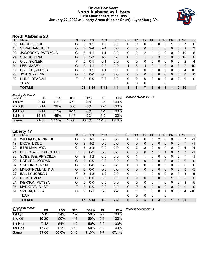## **Official Box Score North Alabama vs Liberty First Quarter Statistics Only January 27, 2022 at Liberty Arena (Hiepler Court) - Lynchburg, Va.**



# **North Alabama 23**

| No. | Plaver             | S | <b>Pts</b>   | <b>FG</b> | 3FG      | <b>FT</b> | <b>OR</b>    | DR           | TR | <b>PF</b> | A | TO       | <b>BIK</b> | Stl          | Min | $+/-$        |
|-----|--------------------|---|--------------|-----------|----------|-----------|--------------|--------------|----|-----------|---|----------|------------|--------------|-----|--------------|
| 02  | MOORE, JADE        | G | 3            | $1 - 2$   | $1 - 2$  | $0 - 0$   | 0            | 0            | 0  | 0         | 0 | 0        |            | 0            |     | 0            |
| 13  | STRACHAN, JULIA    | G | 6            | $2 - 4$   | $2 - 4$  | $0-0$     | $\mathbf{0}$ | 0            | 0  | 0         |   | 3        | $\Omega$   | $\Omega$     | 9   | 2            |
| 22  | JAWORSKA, PATRYCJA | G | 3            | $1 - 1$   | $1 - 1$  | $0 - 0$   | 0            | 2            | 2  |           |   | 0        | 0          | 0            | 10  | 6            |
| 24  | SUZUKI, HINA       | G | 6            | $2 - 3$   | $1 - 2$  | $1 - 1$   | $\Omega$     |              | 1  | 0         | 3 | $\Omega$ | $\Omega$   | $\Omega$     | 10  | 6            |
| 32  | GILL, SKYLER       | F | O            | $0 - 1$   | $0 - 1$  | $0-0$     | 0            | 0            | 0  | 2         | 0 | 0        | $\Omega$   | 0            | 2   | $-4$         |
| 04  | LEE, MACEY         | G | 2            | 1-1       | $0 - 0$  | $0 - 0$   | 1.           | 3            | 4  | 0         |   | 0        | 0          | 0            | 7   | 10           |
| 15  | CALLINS, ALEXIS    | G | 3            | $1 - 2$   | 1-1      | $0 - 0$   | 0            | 0            | 0  | U         | 0 |          | 0          | 0            | 4   | 10           |
| 20  | JONES, OLIVIA      | G | <sup>0</sup> | $0 - 0$   | $0 - 0$  | $0 - 0$   | 0            | 0            | 0  | 0         | 0 | 0        | 0          | 0            | 0   | $\mathbf{0}$ |
| 23  | HUNE, REAGAN       | F | n            | $0 - 0$   | $0-0$    | $0 - 0$   | 0            | 0            | 0  | 0         | 0 | 0        | 0          | 0            | 0   | $\mathbf{0}$ |
|     | TEAM               |   |              |           |          |           | 0            | $\mathbf{0}$ | 0  | 0         |   | 0        |            |              |     |              |
|     | <b>TOTALS</b>      |   | 23           | $8 - 14$  | $6 - 11$ | $1 - 1$   |              | 6            |    | 3         | 6 | 3        | 1          | $\mathbf{0}$ | 50  |              |

| <b>Shooting By Period</b><br>Period | FG        | FG%   | 3FG       | 3FG%  | FT        | FT%   | Deadball Rebounds: 1,0 |
|-------------------------------------|-----------|-------|-----------|-------|-----------|-------|------------------------|
| 1st Qtr                             | 8-14      | 57%   | $6 - 11$  | 55%   | 1-1       | 100%  |                        |
| 2nd Qtr                             | $5 - 14$  | 36%   | $2 - 8$   | 25%   | $2 - 2$   | 100%  |                        |
| 1st Half                            | $8 - 14$  | 57%   | $6 - 11$  | 55%   | 1-1       | 100%  |                        |
| 1st Half                            | $13 - 28$ | 46%   | $8 - 19$  | 42%   | $3-3$     | 100%  |                        |
| Game                                | $21 - 56$ | 37.5% | $10 - 30$ | 33.3% | $11 - 13$ | 84.6% |                        |

# **Liberty 17**

| No.               | Player                   | S  | <b>Pts</b>     | <b>FG</b> | 3FG     | <b>FT</b> | 0R           | DR       | <b>TR</b>      | PF | A            | TO           | <b>Blk</b> | Stl          | Min          | $+/-$          |
|-------------------|--------------------------|----|----------------|-----------|---------|-----------|--------------|----------|----------------|----|--------------|--------------|------------|--------------|--------------|----------------|
| 01                | <b>WILLIAMS, KENNEDI</b> | G  | 2              | 1-1       | $0-0$   | $0-0$     | 0            | 0        | 0              |    | 2            | 0            | 0          | 0            | 7            | $-1$           |
| $12 \overline{ }$ | <b>BROWN, DEE</b>        | G  | $\overline{2}$ | $1 - 2$   | $0 - 0$ | $0-0$     | $\Omega$     | 0        | 0              | 0  | 0            | $\Omega$     | $\Omega$   | $\mathbf{0}$ |              | $-1$           |
| 20                | <b>BERKMAN, MYA</b>      | С  | 6              | $3 - 3$   | $0 - 0$ | $0 - 0$   | 0            | 2        | $\overline{2}$ | 0  | 0            | $\mathbf{0}$ | 0          | 0            | 6            | 4              |
| 21                | RETTSTATT, BRIDGETTE     | F. | 0              | $0 - 2$   | $0 - 0$ | $0-0$     | $\Omega$     | $\Omega$ | 0              |    |              | 1            | $\Omega$   |              | 7            | $-1$           |
| 30                | SMEENGE, PRISCILLA       | G  | $\overline{2}$ | $1 - 2$   | $0 - 0$ | $0 - 0$   | 0            | 1        | 1              | 2  | 0            | $\Omega$     | 0          | $\Omega$     |              | $-1$           |
| 00                | <b>HODGES, JORDAN</b>    | G  | 0              | $0 - 0$   | $0 - 0$ | $0 - 0$   | $\mathbf{0}$ | 0        | 0              | 0  | $\mathbf{0}$ | $\mathbf{0}$ | 0          | $\mathbf{0}$ | $\mathbf{0}$ | $\mathbf 0$    |
| 02                | <b>STALLINGS, NYAH</b>   | G  | 0              | $0 - 0$   | $0 - 0$ | $0-0$     | 0            | 0        | $\mathbf{0}$   | 0  | 0            | $\Omega$     | 0          | 0            | $\mathbf{0}$ | 0              |
| 04                | LINDSTROM, NENNA         | G  | 0              | $0 - 0$   | $0 - 0$ | $0 - 0$   | $\Omega$     | $\Omega$ | $\Omega$       | 0  | 0            | $\mathbf{0}$ | $\Omega$   | $\Omega$     | 3            | $-5$           |
| 22                | <b>BAILEY, JORDAN</b>    | F  | 3              | $1 - 2$   | $1 - 2$ | $0 - 0$   | 0            |          | 1              | 0  | $\mathbf{0}$ | $\Omega$     | 0          | 0            | 3            | $-5$           |
| 23                | <b>HESS, EMMA</b>        | G  | $\Omega$       | $0 - 0$   | $0 - 0$ | $0 - 0$   | $\Omega$     | $\Omega$ | $\mathbf{0}$   | 0  | $\mathbf{0}$ | $\Omega$     | 1          | $\Omega$     | 3            | $-5$           |
| 24                | <b>IVERSON, ALYSSA</b>   | G  | 0              | $0 - 0$   | $0 - 0$ | $0-0$     | $\Omega$     | 0        | $\mathbf{0}$   | 0  |              | $\Omega$     | 0          | 0            | 3            | $-5$           |
| 25                | MARKOVA, ALISE           | F. | $\Omega$       | $0 - 0$   | $0 - 0$ | $0 - 0$   | $\mathbf{0}$ | 0        | $\Omega$       | 0  | $\mathbf{0}$ | $\Omega$     | $\Omega$   | $\mathbf{0}$ | $\mathbf{0}$ | $\overline{0}$ |
| 31                | SMUDA, BELLA             | С  | 2              | $0 - 1$   | $0 - 0$ | $2 - 2$   | 0            | 1        | $\mathbf 1$    | 0  | 0            |              | 0          | $\Omega$     | 4            | $-10$          |
|                   | <b>TEAM</b>              |    |                |           |         |           | 0            | 0        | 0              | 0  |              | 0            |            |              |              |                |
|                   | <b>TOTALS</b>            |    | 17             | 7-13      | $1 - 2$ | $2 - 2$   | 0            | 5        | 5              | 4  | 4            | 2            | 1          |              | 50           |                |

| <b>Shooting By Period</b> |           |       |          |       |         |       | De |
|---------------------------|-----------|-------|----------|-------|---------|-------|----|
| Period                    | FG        | FG%   | 3FG      | 3FG%  | FT      | FT%   |    |
| 1st Qtr                   | $7-13$    | 54%   | $1 - 2$  | 50%   | $2-2$   | 100%  |    |
| 2nd Qtr                   | $10 - 20$ | 50%   | $4 - 8$  | 50%   | $0 - 3$ | 00%   |    |
| 1st Half                  | $7 - 13$  | 54%   | $1 - 2$  | 50%   | $2 - 2$ | 100%  |    |
| 1st Half                  | $17 - 33$ | 52%   | $5 - 10$ | 50%   | $2 - 5$ | 40%   |    |
| Game                      | $33 - 66$ | 50.0% | $5 - 16$ | 31.3% | 4-7     | 57.1% |    |

*Deadball Rebounds:* 1,0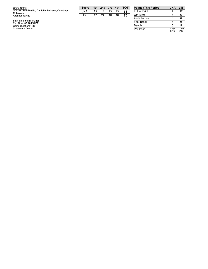| Game Notes:                                                            | <b>Score</b> | 1st | 2nd 3rd 4th |    |    | <b>TOT</b> | <b>Points (This Period)</b> |
|------------------------------------------------------------------------|--------------|-----|-------------|----|----|------------|-----------------------------|
| Officials: Toni Patillo, Danielle Jackson, Courtney<br><b>Robinson</b> | UNA          | 23  | 14          | 13 | 13 | 63         | In the Paint                |
| Attendance: 687                                                        | LIB          | 17  | 24          | 18 | 16 | 75         | Off Turns                   |
|                                                                        |              |     |             |    |    |            | 2nd Chance                  |
| Start Time: 03:31 PM ET<br>End Time: 05:16 PM ET                       |              |     |             |    |    |            | <b>Fast Break</b>           |
| Game Duration: 1:45                                                    |              |     |             |    |    |            | Bench                       |
| Conference Game:                                                       |              |     |             |    |    |            | Per Poss                    |

| <b>Points (This Period)</b> | UNA           | LIB           |
|-----------------------------|---------------|---------------|
| In the Paint                |               | 12            |
| Off Turns                   | 6             | 6             |
| 2nd Chance                  | 3             |               |
| <b>Fast Break</b>           | 6             |               |
| Bench                       | 5             | 5             |
| Per Poss                    | 1.438<br>9/16 | 1.063<br>8/16 |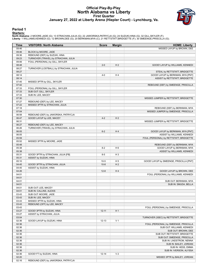## **Official Play-By-Play North Alabama vs Liberty First Quarter January 27, 2022 at Liberty Arena (Hiepler Court) - Lynchburg, Va.**



#### **Period 1**

#### **Starters:**

North Alabama: 2 MOORE,JADE (G); 13 STRACHAN,JULIA (G); 22 JAWORSKA,PATRYCJA (G); 24 SUZUKI,HINA (G); 32 GILL,SKYLER (F);<br>Liberty: 1 WILLIAMS,KENNEDI (G); 12 BROWN,DEE (G); 20 BERKMAN,MYA (C); 21 RETTSTATT,BRIDGETTE (F); 3

| Time           | <b>VISITORS: North Alabama</b>                           | <b>Score</b> | <b>Margin</b>  | <b>HOME: Liberty</b>                    |
|----------------|----------------------------------------------------------|--------------|----------------|-----------------------------------------|
| 09:46          |                                                          |              |                | MISSED LAYUP by BROWN, DEE              |
| 09:46          | BLOCK by MOORE, JADE                                     |              |                |                                         |
| 09:36          | REBOUND (DEF) by SUZUKI, HINA                            |              |                |                                         |
| 09:23          | TURNOVER (TRAVEL) by STRACHAN, JULIA                     |              |                |                                         |
| 09:06          | FOUL (PERSONAL) by GILL, SKYLER                          |              |                |                                         |
| 08:48          |                                                          | $2 - 0$      | H <sub>2</sub> | GOOD! LAYUP by WILLIAMS, KENNEDI        |
| 08:27          | TURNOVER (LOSTBALL) by STRACHAN, JULIA                   |              |                |                                         |
| 08:27          |                                                          |              |                | STEAL by RETTSTATT, BRIDGETTE           |
| 08:14          |                                                          | $4 - 0$      | H4             | GOOD! LAYUP by BERKMAN, MYA [PNT]       |
| 08:14          |                                                          |              |                | ASSIST by RETTSTATT, BRIDGETTE          |
| 07:45          | MISSED 3PTR by GILL, SKYLER                              |              |                |                                         |
| 07:42          |                                                          |              |                | REBOUND (DEF) by SMEENGE, PRISCILLA     |
| 07:33<br>07:33 | FOUL (PERSONAL) by GILL, SKYLER<br>SUB OUT: GILL, SKYLER |              |                |                                         |
| 07:33          | SUB IN: LEE, MACEY                                       |              |                |                                         |
| 07:30          |                                                          |              |                | MISSED JUMPER by RETTSTATT, BRIDGETTE   |
| 07:27          | REBOUND (DEF) by LEE, MACEY                              |              |                |                                         |
| 07:22          | MISSED 3PTR by STRACHAN, JULIA                           |              |                |                                         |
| 07:18          |                                                          |              |                | REBOUND (DEF) by BERKMAN, MYA           |
| 07:04          |                                                          |              |                | MISSED JUMPER by SMEENGE, PRISCILLA     |
| 06:58          | REBOUND (DEF) by JAWORSKA, PATRYCJA                      |              |                |                                         |
| 06:47          | GOOD! LAYUP by LEE, MACEY                                | $4 - 2$      | H <sub>2</sub> |                                         |
| 06:31          |                                                          |              |                | MISSED JUMPER by RETTSTATT, BRIDGETTE   |
| 06:27          | REBOUND (DEF) by LEE, MACEY                              |              |                |                                         |
| 06:26          | TURNOVER (TRAVEL) by STRACHAN, JULIA                     |              |                |                                         |
| 06:05          |                                                          | $6 - 2$      | H4             | GOOD! LAYUP by BERKMAN, MYA [PNT]       |
| 06:05          |                                                          |              |                | ASSIST by WILLIAMS, KENNEDI             |
| 05:59          |                                                          |              |                | FOUL (PERSONAL) by RETTSTATT, BRIDGETTE |
| 05:52          | MISSED 3PTR by MOORE, JADE                               |              |                |                                         |
| 05:48          |                                                          |              |                | REBOUND (DEF) by BERKMAN, MYA           |
| 05:38          |                                                          | $8-2$        | H <sub>6</sub> | GOOD! LAYUP by BERKMAN, MYA             |
| 05:38          |                                                          |              |                | ASSIST by WILLIAMS, KENNEDI             |
| 05:31          | GOOD! 3PTR by STRACHAN, JULIA [FB]                       | $8 - 5$      | $H_3$          |                                         |
| 05:31          | ASSIST by SUZUKI, HINA                                   |              |                |                                         |
| 05:10          |                                                          | $10-5$       | H <sub>5</sub> | GOOD! LAYUP by SMEENGE, PRISCILLA [PNT] |
| 04:45<br>04:45 | GOOD! 3PTR by STRACHAN, JULIA                            | $10-8$       | H <sub>2</sub> |                                         |
| 04:26          | ASSIST by SUZUKI, HINA                                   | $12 - 8$     | H4             | GOOD! LAYUP by BROWN, DEE               |
| 04:01          |                                                          |              |                | FOUL (PERSONAL) by WILLIAMS, KENNEDI    |
| 04:01          |                                                          |              |                |                                         |
| 04:01          |                                                          |              |                | SUB OUT: BERKMAN, MYA                   |
| 04:01          |                                                          |              |                | SUB IN: SMUDA, BELLA                    |
| 04:01          | SUB OUT: LEE, MACEY                                      |              |                |                                         |
| 04:01          | SUB IN: CALLINS, ALEXIS                                  |              |                |                                         |
| 03:43          | SUB OUT: MOORE, JADE                                     |              |                |                                         |
| 03:43          | SUB IN: LEE, MACEY                                       |              |                |                                         |
| 03:43          | MISSED 3PTR by SUZUKI, HINA                              |              |                |                                         |
| 03:43          | REBOUND (OFF) by LEE, MACEY                              |              |                |                                         |
| 03:43          |                                                          |              |                | FOUL (PERSONAL) by SMEENGE, PRISCILLA   |
| 03:27          | GOOD! 3PTR by SUZUKI, HINA                               | $12 - 11$    | H <sub>1</sub> |                                         |
| 03:27          | ASSIST by STRACHAN, JULIA                                |              |                |                                         |
| 03:04          |                                                          |              |                | TURNOVER (3SEC) by RETTSTATT, BRIDGETTE |
| 02:36          | GOOD! LAYUP by SUZUKI, HINA                              | $12 - 13$    | V <sub>1</sub> |                                         |
| 02:36          |                                                          |              |                | FOUL (PERSONAL) by SMEENGE, PRISCILLA   |
| 02:36          |                                                          |              |                | SUB OUT: WILLIAMS, KENNEDI              |
| 02:36          |                                                          |              |                | SUB OUT: BROWN, DEE                     |
| 02:36          |                                                          |              |                | SUB OUT: RETTSTATT, BRIDGETTE           |
| 02:36          |                                                          |              |                | SUB OUT: SMEENGE, PRISCILLA             |
| 02:36          |                                                          |              |                | SUB IN: LINDSTROM, NENNA                |
| 02:36          |                                                          |              |                | SUB IN: BAILEY, JORDAN                  |
| 02:36          |                                                          |              |                | SUB IN: HESS, EMMA                      |
| 02:36          |                                                          |              |                | SUB IN: IVERSON, ALYSSA                 |
| 02:36<br>02:20 | GOOD! FT by SUZUKI, HINA                                 | $12 - 14$    | V <sub>2</sub> |                                         |
| 02:16          | REBOUND (DEF) by JAWORSKA, PATRYCJA                      |              |                | MISSED 3PTR by BAILEY, JORDAN           |
|                |                                                          |              |                |                                         |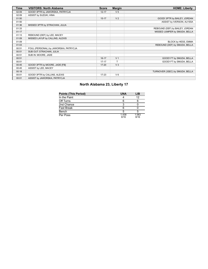| Time  | <b>VISITORS: North Alabama</b>        | <b>Score</b> | <b>Margin</b>  | <b>HOME: Liberty</b>            |
|-------|---------------------------------------|--------------|----------------|---------------------------------|
| 02:09 | GOOD! 3PTR by JAWORSKA, PATRYCJA      | $12 - 17$    | V <sub>5</sub> |                                 |
| 02:09 | ASSIST by SUZUKI, HINA                |              |                |                                 |
| 01:50 |                                       | $15 - 17$    | V <sub>2</sub> | GOOD! 3PTR by BAILEY, JORDAN    |
| 01:50 |                                       |              |                | ASSIST by IVERSON, ALYSSA       |
| 01:36 | MISSED 3PTR by STRACHAN, JULIA        |              |                |                                 |
| 01:33 |                                       |              |                | REBOUND (DEF) by BAILEY, JORDAN |
| 01:17 |                                       |              |                | MISSED JUMPER by SMUDA, BELLA   |
| 01:13 | REBOUND (DEF) by LEE, MACEY           |              |                |                                 |
| 01:09 | MISSED LAYUP by CALLINS, ALEXIS       |              |                |                                 |
| 01:09 |                                       |              |                | BLOCK by HESS, EMMA             |
| 01:03 |                                       |              |                | REBOUND (DEF) by SMUDA, BELLA   |
| 00:51 | FOUL (PERSONAL) by JAWORSKA, PATRYCJA |              |                |                                 |
| 00:51 | SUB OUT: STRACHAN, JULIA              |              |                |                                 |
| 00:51 | SUB IN: MOORE, JADE                   |              |                |                                 |
| 00:51 |                                       | $16 - 17$    | V <sub>1</sub> | GOOD! FT by SMUDA, BELLA        |
| 00:51 |                                       | $17 - 17$    | $\mathsf{T}$   | GOOD! FT by SMUDA, BELLA        |
| 00:45 | GOOD! 3PTR by MOORE, JADE [FB]        | $17 - 20$    | $V_3$          |                                 |
| 00:45 | ASSIST by LEE, MACEY                  |              |                |                                 |
| 00:18 |                                       |              |                | TURNOVER (3SEC) by SMUDA, BELLA |
| 00:01 | GOOD! 3PTR by CALLINS, ALEXIS         | $17 - 23$    | $V_6$          |                                 |
| 00:01 | ASSIST by JAWORSKA, PATRYCJA          |              |                |                                 |

# **North Alabama 23, Liberty 17**

| <b>Points (This Period)</b> | <b>UNA</b>    | LIB           |
|-----------------------------|---------------|---------------|
| In the Paint                |               | 12            |
| Off Turns                   |               |               |
| 2nd Chance                  |               |               |
| <b>Fast Break</b>           |               |               |
| Bench                       |               |               |
| Per Poss                    | 1.438<br>9/16 | 1.063<br>8/16 |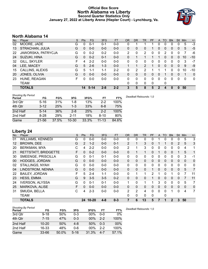## **Official Box Score North Alabama vs Liberty Second Quarter Statistics Only January 27, 2022 at Liberty Arena (Hiepler Court) - Lynchburg, Va.**



# **North Alabama 14**

| No. | Plaver                 | S | <b>Pts</b> | <b>FG</b> | 3FG     | <b>FT</b> | <b>OR</b>    | DR | TR | <b>PF</b>    | A             | TO       | <b>Blk</b> | Stl          | Min | $+/-$        |
|-----|------------------------|---|------------|-----------|---------|-----------|--------------|----|----|--------------|---------------|----------|------------|--------------|-----|--------------|
| 02  | MOORE, JADE            | G | 0          | $0 - 1$   | $0 - 1$ | $0-0$     | 0            |    |    |              | 0             | 0        | 0          | 0            | 5   | $-3$         |
| 13  | STRACHAN, JULIA        | G | 0          | $0 - 0$   | $0 - 0$ | $0-0$     | $\mathbf{0}$ | 0  | 0  |              | 0             | $\Omega$ | $\Omega$   | 0            | 5   | $-5$         |
| 22  | JAWORSKA, PATRYCJA     | G | 0          | $0 - 2$   | $0 - 2$ | $0-0$     | 2            | 0  | 2  | $\Omega$     | 0             | 2        | 0          | 0            | 7   | -6           |
| 24  | SUZUKI, HINA           | G | 0          | $0 - 2$   | $0 - 1$ | $0 - 0$   | 0            |    |    |              |               | 0        | 0          | $\Omega$     | 10  | $-10$        |
| -32 | GILL, SKYLER           | F | 4          | $2 - 2$   | $0 - 0$ | $0-0$     | 0            | 0  | 0  | 0            |               | 0        | 0          | 0            | 3   | $-7$         |
| 04  | LEE, MACEY             | G | 5          | $2 - 6$   | $1 - 3$ | $0 - 0$   |              |    | 2  |              | 0             | 0        | 0          | $\Omega$     | 9   | -9           |
| 15  | <b>CALLINS, ALEXIS</b> | G | 5          | 1-1       | 1-1     | $2 - 2$   | 0            | 2  | 2  |              |               |          | 0          | 0            | 10  | $-10$        |
| 20  | JONES, OLIVIA          | G | $\Omega$   | $0 - 0$   | $0 - 0$ | $0 - 0$   | 0            | 0  | 0  | $\Omega$     | 0             |          | 0          | $\mathbf{0}$ |     | $\mathbf{0}$ |
| 23  | HUNE, REAGAN           | F | 0          | $0 - 0$   | $0-0$   | $0-0$     | 0            | 0  | 0  | $\Omega$     | 0             | 0        | $\Omega$   | 0            | 0   | 0            |
|     | TEAM                   |   |            |           |         |           | $\Omega$     | 0  | 0  | $\mathbf{0}$ |               | 0        |            |              |     |              |
|     | <b>TOTALS</b>          |   | 14         | $5 - 14$  | $2 - 8$ | $2 - 2$   | 3            | 5  | 8  | 5            | $\mathcal{P}$ | 4        | 0          | $\Omega$     | 50  |              |

| <b>Shooting By Period</b><br>Period | FG       | FG%   | 3FG       | 3FG%  | FT        | FT%   | Deadball Rebounds: 1,0 |
|-------------------------------------|----------|-------|-----------|-------|-----------|-------|------------------------|
| 3rd Qtr                             | $5 - 16$ | 31%   | 1-8       | 13%   | $2 - 2$   | 100%  |                        |
| 4th Qtr                             | $3 - 12$ | 25%   | $1 - 3$   | 33%   | $6 - 8$   | 75%   |                        |
| 2nd Half                            | $5 - 14$ | 36%   | $2 - 8$   | 25%   | $2 - 2$   | 100%  |                        |
| 2nd Half                            | $8-28$   | 29%   | $2 - 11$  | 18%   | $8 - 10$  | 80%   |                        |
| Game                                | 21-56    | 37.5% | $10 - 30$ | 33.3% | $11 - 13$ | 84.6% |                        |

# **Liberty 24**

| No.               | Player                   | S  | Pts            | <b>FG</b> | 3FG     | <b>FT</b> | <b>OR</b>    | <b>DR</b> | <b>TR</b>    | PF       | A            | <b>TO</b>    | <b>Blk</b>   | Stl          | Min            | $+/-$       |
|-------------------|--------------------------|----|----------------|-----------|---------|-----------|--------------|-----------|--------------|----------|--------------|--------------|--------------|--------------|----------------|-------------|
| 01                | <b>WILLIAMS, KENNEDI</b> | G  | 0              | $0 - 0$   | $0 - 0$ | $0-0$     | 0            | 0         | 0            | 0        |              | $\Omega$     | 0            | 0            | 5              | 3           |
| $12 \overline{ }$ | <b>BROWN, DEE</b>        | G  | $\overline{2}$ | $1 - 2$   | $0 - 0$ | $0 - 1$   | 2            | 1         | 3            | $\Omega$ |              |              | $\Omega$     | 2            | 5              | 3           |
| 20                | <b>BERKMAN, MYA</b>      | С  | 4              | $2 - 2$   | $0 - 0$ | $0 - 0$   | 2            | 1         | 3            | 0        | 0            | $\Omega$     | 0            | $\Omega$     | 4              | 1           |
| 21                | RETTSTATT, BRIDGETTE     | F  | 0              | $0 - 2$   | $0 - 0$ | $0 - 0$   | $\Omega$     |           | 1            | 0        |              | $\mathbf{0}$ | $\Omega$     |              | 5              | 1           |
| 30                | SMEENGE, PRISCILLA       | G  | 0              | $0 - 1$   | $0 - 1$ | $0-0$     | 0            | 0         | $\mathbf{0}$ | 0        | 0            | $\mathbf{0}$ | 0            | 0            | 3              | $-1$        |
| 00                | <b>HODGES, JORDAN</b>    | G  | $\mathbf{0}$   | $0 - 0$   | $0 - 0$ | $0 - 0$   | $\mathbf{0}$ | $\Omega$  | $\mathbf{0}$ | 0        | $\mathbf 0$  | $\mathbf{0}$ | 0            | $\mathbf{0}$ | $\overline{0}$ | $\mathbf 0$ |
| 02                | <b>STALLINGS, NYAH</b>   | G  | 0              | $0 - 0$   | $0 - 0$ | $0-0$     | 0            | 0         | $\mathbf{0}$ | 0        | 0            | 0            | 0            | $\Omega$     | $\mathbf{0}$   | 0           |
| 04                | LINDSTROM, NENNA         | G  | $\mathbf{0}$   | $0 - 0$   | $0 - 0$ | $0 - 0$   | $\Omega$     | $\Omega$  | $\Omega$     |          | 0            | $\Omega$     | $\Omega$     | $\mathbf{0}$ | 5              | 7           |
| 22                | <b>BAILEY, JORDAN</b>    | F  | 5              | $2 - 4$   | $1 - 1$ | $0 - 0$   | 0            |           | 1            | 2        |              | 0            |              | 0            |                | 11          |
| 23                | <b>HESS, EMMA</b>        | G  | 9              | $3 - 5$   | $3 - 5$ | $0 - 2$   | $\Omega$     | 0         | 0            | 1        | 0            | $\Omega$     | $\Omega$     | $\Omega$     | 7              | 11          |
| 24                | <b>IVERSON, ALYSSA</b>   | G  | 0              | $0 - 1$   | $0 - 1$ | $0-0$     | 1            | 0         | 1            | 1        | 3            | $\Omega$     | 0            | 0            | 5              | 7           |
| 25                | MARKOVA, ALISE           | F. | 0              | $0 - 0$   | $0 - 0$ | $0 - 0$   | $\mathbf{0}$ | 0         | $\mathbf{0}$ | 0        | $\mathbf{0}$ | $\mathbf{0}$ | $\Omega$     | $\mathbf{0}$ | $\mathbf{0}$   | 0           |
| 31                | SMUDA, BELLA             | C  | 4              | $2 - 3$   | $0 - 0$ | $0 - 0$   | 2            | 2         | 4            | 0        | 0            | $\Omega$     | 1            | $\Omega$     | 4              | 7           |
|                   | <b>TEAM</b>              |    |                |           |         |           | 0            | 0         | 0            | 0        |              | 0            |              |              |                |             |
|                   | <b>TOTALS</b>            |    |                | 24 10-20  | $4 - 8$ | $0 - 3$   |              | 6         | 13           | 5        |              |              | $\mathbf{2}$ | 3            | 50             |             |

| <b>Shooting By Period</b><br>Period | FG        | FG%   | 3FG      | 3FG%   | FT      | FT%   | Dea |
|-------------------------------------|-----------|-------|----------|--------|---------|-------|-----|
| 3rd Qtr                             | $9 - 18$  | 50%   | $0 - 3$  | 00%    | $0 - 0$ | $0\%$ |     |
| 4th Qtr                             | $7 - 15$  | 47%   | $0 - 3$  | 00%    | $2 - 2$ | 100%  |     |
| 2nd Half                            | $10 - 20$ | 50%   | $4-8$    | 50%    | $0 - 3$ | 00%   |     |
| 2nd Half                            | 16-33     | 48%   | 0-6      | $00\%$ | $2-2$   | 100%  |     |
| Game                                | $33 - 66$ | 50.0% | $5 - 16$ | 31.3%  | 4-7     | 57.1% |     |

*Deadball Rebounds:* 1,0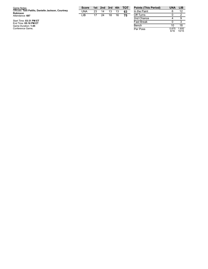| Game Notes:                                                            | <b>Score</b> | 1st | 2nd 3rd 4th |    |    | <b>TOT</b> | <b>Points (This Period)</b> |
|------------------------------------------------------------------------|--------------|-----|-------------|----|----|------------|-----------------------------|
| Officials: Toni Patillo, Danielle Jackson, Courtney<br><b>Robinson</b> | UNA          | 23  | 14          | 13 | 13 | 63         | In the Paint                |
| Attendance: 687                                                        | LIB          | 17  | 24          | 18 | 16 | 75         | Off Turns                   |
|                                                                        |              |     |             |    |    |            | 2nd Chance                  |
| Start Time: 03:31 PM ET<br>End Time: 05:16 PM ET                       |              |     |             |    |    |            | <b>Fast Break</b>           |
| Game Duration: 1:45                                                    |              |     |             |    |    |            | Bench                       |
| Conference Game:                                                       |              |     |             |    |    |            | Per Poss                    |

| <b>Points (This Period)</b> | IJΝΔ          | LIB            |
|-----------------------------|---------------|----------------|
| In the Paint                | 6             | 12             |
| Off Turns                   | ი             | 2              |
| 2nd Chance                  | 4             | 9              |
| <b>Fast Break</b>           | ŋ             | З              |
| Bench                       | 10            | 18             |
| Per Poss                    | 0.875<br>6/16 | 1.600<br>10/15 |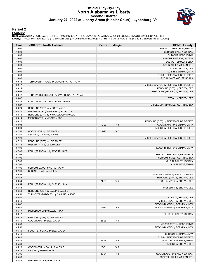## **Official Play-By-Play North Alabama vs Liberty Second Quarter January 27, 2022 at Liberty Arena (Hiepler Court) - Lynchburg, Va.**



#### **Period 2**

#### **Starters:**

North Alabama: 2 MOORE,JADE (G); 13 STRACHAN,JULIA (G); 22 JAWORSKA,PATRYCJA (G); 24 SUZUKI,HINA (G); 32 GILL,SKYLER (F);<br>Liberty: 1 WILLIAMS,KENNEDI (G); 12 BROWN,DEE (G); 20 BERKMAN,MYA (C); 21 RETTSTATT,BRIDGETTE (F); 3

| Time           | <b>VISITORS: North Alabama</b>                                            | <b>Score</b> | <b>Margin</b>  | <b>HOME: Liberty</b>                                     |
|----------------|---------------------------------------------------------------------------|--------------|----------------|----------------------------------------------------------|
| 10:00          |                                                                           |              |                | SUB OUT: LINDSTROM, NENNA                                |
| 10:00          |                                                                           |              |                | SUB OUT: BAILEY, JORDAN                                  |
| 10:00          |                                                                           |              |                | SUB OUT: HESS, EMMA                                      |
| 10:00          |                                                                           |              |                | SUB OUT: IVERSON, ALYSSA                                 |
| 10:00          |                                                                           |              |                | SUB OUT: SMUDA, BELLA                                    |
| 10:00<br>10:00 |                                                                           |              |                | SUB IN: WILLIAMS, KENNEDI<br>SUB IN: BROWN, DEE          |
| 10:00          |                                                                           |              |                | SUB IN: BERKMAN, MYA                                     |
| 10:00          |                                                                           |              |                | SUB IN: RETTSTATT, BRIDGETTE                             |
| 10:00          |                                                                           |              |                | SUB IN: SMEENGE, PRISCILLA                               |
| 09:43          | TURNOVER (TRAVEL) by JAWORSKA, PATRYCJA                                   |              |                |                                                          |
| 09:17          |                                                                           |              |                | MISSED JUMPER by RETTSTATT, BRIDGETTE                    |
| 09:14          |                                                                           |              |                | REBOUND (OFF) by BROWN, DEE                              |
| 09:02          |                                                                           |              |                | TURNOVER (TRAVEL) by BROWN, DEE                          |
| 08:42          | TURNOVER (LOSTBALL) by JAWORSKA, PATRYCJA                                 |              |                |                                                          |
| 08:42          |                                                                           |              |                | STEAL by BROWN, DEE                                      |
| 08:32          | FOUL (PERSONAL) by CALLINS, ALEXIS                                        |              |                |                                                          |
| 08:27<br>08:24 |                                                                           |              |                | MISSED 3PTR by SMEENGE, PRISCILLA                        |
| 08:21          | REBOUND (DEF) by MOORE, JADE<br>MISSED 3PTR by JAWORSKA, PATRYCJA         |              |                |                                                          |
| 08:15          | REBOUND (OFF) by JAWORSKA, PATRYCJA                                       |              |                |                                                          |
| 08:14          | MISSED 3PTR by MOORE, JADE                                                |              |                |                                                          |
| 08:10          |                                                                           |              |                | REBOUND (DEF) by RETTSTATT, BRIDGETTE                    |
| 08:04          |                                                                           | 19-23        | V <sub>4</sub> | GOOD! LAYUP by BERKMAN, MYA                              |
| 08:04          |                                                                           |              |                | ASSIST by RETTSTATT, BRIDGETTE                           |
| 07:51          | GOOD! 3PTR by LEE, MACEY                                                  | 19-26        | V <sub>7</sub> |                                                          |
| 07:51          | ASSIST by CALLINS, ALEXIS                                                 |              |                |                                                          |
| 07:26          |                                                                           |              |                | MISSED JUMPER by RETTSTATT, BRIDGETTE                    |
| 07:23          | REBOUND (DEF) by LEE, MACEY                                               |              |                |                                                          |
| 07:12          | MISSED 3PTR by LEE, MACEY                                                 |              |                |                                                          |
| 07:09          |                                                                           |              |                | REBOUND (DEF) by BERKMAN, MYA                            |
| 07:06<br>07:06 | FOUL (PERSONAL) by MOORE, JADE                                            |              |                | SUB OUT: RETTSTATT, BRIDGETTE                            |
| 07:06          |                                                                           |              |                | SUB OUT: SMEENGE, PRISCILLA                              |
| 07:06          |                                                                           |              |                | SUB IN: BAILEY, JORDAN                                   |
| 07:06          |                                                                           |              |                | SUB IN: HESS, EMMA                                       |
| 07:06          | SUB OUT: JAWORSKA, PATRYCJA                                               |              |                |                                                          |
| 07:06          | SUB IN: STRACHAN, JULIA                                                   |              |                |                                                          |
| 06:54          |                                                                           |              |                | MISSED JUMPER by BAILEY, JORDAN                          |
| 06:54          |                                                                           |              |                | REBOUND (OFF) by BROWN, DEE                              |
| 06:54          |                                                                           | $21 - 26$    | V <sub>5</sub> | GOOD! JUMPER by BROWN, DEE                               |
| 06:54          | FOUL (PERSONAL) by SUZUKI, HINA                                           |              |                |                                                          |
| 06:54          |                                                                           |              |                | MISSED FT by BROWN, DEE                                  |
| 06:53<br>06:51 | REBOUND (DEF) by CALLINS, ALEXIS<br>TURNOVER (BADPASS) by CALLINS, ALEXIS |              |                |                                                          |
| 06:51          |                                                                           |              |                | STEAL by BROWN, DEE                                      |
| 06:46          |                                                                           |              |                | MISSED LAYUP by BROWN, DEE                               |
| 06:42          |                                                                           |              |                | REBOUND (OFF) by BERKMAN, MYA                            |
| 06:41          |                                                                           | 23-26        | $V_3$          | GOOD! JUMPER by BERKMAN, MYA                             |
| 06:17          | MISSED LAYUP by SUZUKI, HINA                                              |              |                |                                                          |
| 06:17          |                                                                           |              |                | BLOCK by BAILEY, JORDAN                                  |
| 06:12          | REBOUND (OFF) by LEE, MACEY                                               |              |                |                                                          |
| 06:10          | GOOD! LAYUP by LEE, MACEY                                                 | 23-28        | V <sub>5</sub> |                                                          |
| 05:53          |                                                                           |              |                | MISSED 3PTR by HESS, EMMA                                |
| 05:52          |                                                                           |              |                | REBOUND (OFF) by BERKMAN, MYA                            |
| 05:46          | FOUL (PERSONAL) by LEE, MACEY                                             |              |                |                                                          |
| 05:46<br>05:46 |                                                                           |              |                | SUB OUT: BERKMAN, MYA                                    |
| 05:39          |                                                                           | 26-28        | V <sub>2</sub> | SUB IN: RETTSTATT, BRIDGETTE<br>GOOD! 3PTR by HESS, EMMA |
| 05:39          |                                                                           |              |                | ASSIST by BROWN, DEE                                     |
| 05:26          | GOOD! 3PTR by CALLINS, ALEXIS                                             | 26-31        | V <sub>5</sub> |                                                          |
| 05:26          | ASSIST by SUZUKI, HINA                                                    |              |                |                                                          |
| 05:06          |                                                                           | 28-31        | $V_3$          | GOOD! LAYUP by BAILEY, JORDAN                            |
| 05:06          |                                                                           |              |                | ASSIST by WILLIAMS, KENNEDI                              |
| 04:45          | MISSED LAYUP by LEE, MACEY                                                |              |                |                                                          |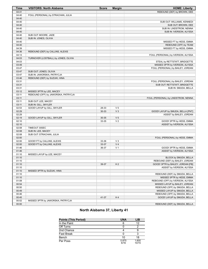| <b>Time</b>    | <b>VISITORS: North Alabama</b>       | <b>Score</b> | <b>Margin</b>                    | <b>HOME: Liberty</b>                                            |
|----------------|--------------------------------------|--------------|----------------------------------|-----------------------------------------------------------------|
| 04:41          |                                      |              |                                  | REBOUND (DEF) by BROWN, DEE                                     |
| 04:40          | FOUL (PERSONAL) by STRACHAN, JULIA   |              |                                  |                                                                 |
| 04:40          |                                      |              |                                  |                                                                 |
| 04:40          |                                      |              |                                  | SUB OUT: WILLIAMS, KENNEDI                                      |
| 04:40          |                                      |              |                                  | SUB OUT: BROWN, DEE                                             |
| 04:40          |                                      |              |                                  | SUB IN: LINDSTROM, NENNA                                        |
| 04:40          |                                      |              |                                  | SUB IN: IVERSON, ALYSSA                                         |
| 04:40          | SUB OUT: MOORE, JADE                 |              |                                  |                                                                 |
| 04:40          | SUB IN: JONES, OLIVIA                |              |                                  |                                                                 |
| 04:40          |                                      |              |                                  | MISSED FT by HESS, EMMA                                         |
| 04:40          |                                      |              |                                  | REBOUND (OFF) by TEAM                                           |
| 04:39          |                                      |              |                                  | MISSED FT by HESS, EMMA                                         |
| 04:36          | REBOUND (DEF) by CALLINS, ALEXIS     |              |                                  |                                                                 |
| 04:13          |                                      |              |                                  | FOUL (PERSONAL) by IVERSON, ALYSSA                              |
| 04:03          | TURNOVER (LOSTBALL) by JONES, OLIVIA |              |                                  |                                                                 |
| 04:03          |                                      |              |                                  | STEAL by RETTSTATT, BRIDGETTE                                   |
| 03:49          |                                      |              |                                  | MISSED 3PTR by IVERSON, ALYSSA                                  |
| 03:47          |                                      |              |                                  | FOUL (PERSONAL) by BAILEY, JORDAN                               |
| 03:47          | SUB OUT: JONES, OLIVIA               |              |                                  |                                                                 |
| 03:47          | SUB IN: JAWORSKA, PATRYCJA           |              |                                  |                                                                 |
| 03:46          | REBOUND (DEF) by SUZUKI, HINA        |              |                                  |                                                                 |
| 03:31          |                                      |              |                                  | FOUL (PERSONAL) by BAILEY, JORDAN                               |
| 03:31          |                                      |              |                                  | SUB OUT: RETTSTATT, BRIDGETTE                                   |
| 03:31          |                                      |              |                                  | SUB IN: SMUDA, BELLA                                            |
| 03:12          | MISSED 3PTR by LEE, MACEY            |              |                                  |                                                                 |
| 03:11          | REBOUND (OFF) by JAWORSKA, PATRYCJA  |              |                                  |                                                                 |
| 03:11          |                                      |              |                                  | FOUL (PERSONAL) by LINDSTROM, NENNA                             |
| 03:11          | SUB OUT: LEE, MACEY                  |              |                                  |                                                                 |
| 03:11          | SUB IN: GILL, SKYLER                 |              |                                  |                                                                 |
| 02:53          | GOOD! LAYUP by GILL, SKYLER          | 28-33        | V <sub>5</sub>                   |                                                                 |
| 02:29          |                                      | 30-33        | V <sub>3</sub>                   | GOOD! LAYUP by SMUDA, BELLA [PNT]                               |
| 02:29          |                                      |              |                                  | ASSIST by BAILEY, JORDAN                                        |
| 02:19          | GOOD! LAYUP by GILL, SKYLER          | 30-35        | V <sub>5</sub>                   |                                                                 |
| 02:10          |                                      | 33-35        | V <sub>2</sub>                   | GOOD! 3PTR by HESS, EMMA                                        |
| 02:10          |                                      |              |                                  | ASSIST by IVERSON, ALYSSA                                       |
| 02:08          | TIMEOUT 30SEC                        |              |                                  |                                                                 |
| 02:08          | SUB IN: LEE, MACEY                   |              |                                  |                                                                 |
| 02:08          | SUB OUT: STRACHAN, JULIA             |              |                                  |                                                                 |
| 02:00          |                                      |              |                                  | FOUL (PERSONAL) by HESS, EMMA                                   |
| 02:00          | GOOD! FT by CALLINS, ALEXIS          | 33-36        | V <sub>3</sub><br>V <sub>4</sub> |                                                                 |
| 02:00          | GOOD! FT by CALLINS, ALEXIS          | 33-37        |                                  |                                                                 |
| 01:46          |                                      | 36-37        | V <sub>1</sub>                   | GOOD! 3PTR by HESS, EMMA                                        |
| 01:46<br>01:10 |                                      |              |                                  | ASSIST by IVERSON, ALYSSA                                       |
|                | MISSED LAYUP by LEE, MACEY           |              |                                  | BLOCK by SMUDA, BELLA                                           |
| 01:10          |                                      |              |                                  | REBOUND (DEF) by BAILEY, JORDAN                                 |
| 01:10<br>01:10 |                                      |              | H <sub>2</sub>                   | GOOD! 3PTR by BAILEY, JORDAN [FB]                               |
| 01:10          |                                      | 39-37        |                                  | ASSIST by IVERSON, ALYSSA                                       |
| 01:10          | MISSED 3PTR by SUZUKI, HINA          |              |                                  |                                                                 |
| 01:10          |                                      |              |                                  | REBOUND (DEF) by SMUDA, BELLA                                   |
| 01:10          |                                      |              |                                  |                                                                 |
| 01:08          |                                      |              |                                  | MISSED 3PTR by HESS, EMMA<br>REBOUND (OFF) by IVERSON, ALYSSA   |
| 00:54          |                                      |              |                                  |                                                                 |
| 00:50          |                                      |              |                                  | MISSED LAYUP by BAILEY, JORDAN<br>REBOUND (OFF) by SMUDA, BELLA |
| 00:49          |                                      |              |                                  | MISSED LAYUP by SMUDA, BELLA                                    |
| 00:46          |                                      |              |                                  | REBOUND (OFF) by SMUDA, BELLA                                   |
| 00:45          |                                      | 41-37        | H4                               | GOOD! LAYUP by SMUDA, BELLA                                     |
| 00:02          | MISSED 3PTR by JAWORSKA, PATRYCJA    |              |                                  |                                                                 |
| 00:00          |                                      |              |                                  | REBOUND (DEF) by SMUDA, BELLA                                   |
|                |                                      |              |                                  |                                                                 |

# **North Alabama 37, Liberty 41**

| <b>Points (This Period)</b> | <b>UNA</b>    | LIB            |
|-----------------------------|---------------|----------------|
| In the Paint                | 6             | 12             |
| Off Turns                   |               |                |
| 2nd Chance                  |               |                |
| <b>Fast Break</b>           |               |                |
| Bench                       | 10            | 18             |
| Per Poss                    | 0.875<br>6/16 | 1.600<br>10/15 |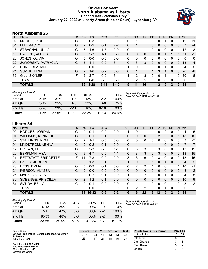## **Official Box Score North Alabama vs Liberty Second Half Statistics Only January 27, 2022 at Liberty Arena (Hiepler Court) - Lynchburg, Va.**



# **North Alabama 26**

| No. | Player                 | S | <b>Pts</b>    | <b>FG</b> | 3FG      | <b>FT</b> | <b>OR</b> | <b>DR</b> | TR | <b>PF</b> | A        | TO | <b>B</b> lk | Stl      | <b>Min</b> | $+/-$       |
|-----|------------------------|---|---------------|-----------|----------|-----------|-----------|-----------|----|-----------|----------|----|-------------|----------|------------|-------------|
| 02  | MOORE, JADE            | G | 0             | $0 - 3$   | $0 - 2$  | $0 - 0$   | 0         |           |    | 0         | 0        |    | 0           | 0        | 12         | $-11$       |
| 04  | LEE, MACEY             | G | $\mathcal{P}$ | $0 - 2$   | $0 - 1$  | $2 - 2$   | 0         |           |    | 0         | 0        | 0  | 0           | 0        |            | $-4$        |
| 13  | STRACHAN, JULIA        | G | 3             | $1-6$     | $1 - 5$  | $0 - 0$   | 0         |           |    | 0         | 0        | 0  | 0           |          | 12         | -8          |
| 15  | <b>CALLINS, ALEXIS</b> | G | 5             | $2 - 3$   | $1 - 1$  | $0 - 0$   | 0         | 0         | 0  | 3         | 0        |    |             |          | 11         | $-2$        |
| -20 | JONES, OLIVIA          | G | 0             | $0 - 0$   | $0 - 0$  | $0 - 0$   | 0         | 0         | 0  | 0         | 0        | 0  | 0           | 0        | 0          | $\mathbf 0$ |
| 22  | JAWORSKA, PATRYCJA     | G | 5             | $1 - 1$   | $0 - 0$  | $3 - 4$   | 0         | 3         | 3  | $\Omega$  | 0        | 0  | 0           | $\Omega$ | 13         | $-4$        |
| 23  | HUNE, REAGAN           | F | 0             | $0 - 0$   | $0 - 0$  | $0 - 0$   |           | 0         |    | 0         | 0        |    | 0           | $\Omega$ | 4          | 5           |
| 24  | SUZUKI, HINA           | G | $\mathcal{P}$ | $1 - 6$   | $0 - 2$  | $0 - 0$   | 0         |           |    |           | 3        |    | 0           | $\Omega$ | 20         | -8          |
| 32  | GILL, SKYLER           | F | 9             | $3 - 7$   | $0 - 0$  | $3 - 4$   | 1         | 2         | 3  | 0         | $\Omega$ |    |             | 0        | 20         | -8          |
|     | <b>TEAM</b>            |   | 0             | $0 - 0$   | $0 - 0$  | $0 - 0$   | 3         | 2         | 5  | 0         | 0        | 0  | 0           | 0        | 0          |             |
|     | <b>TOTALS</b>          |   | 26            | $8 - 28$  | $2 - 11$ | $8 - 10$  | 5         | 11        | 16 | Δ         |          | 5  | 2           | 2        | 99         |             |

| <b>Shooting By Period</b><br>Period | FG       | FG%   | 3FG       | 3FG%  | FT        | FT%   | Deadball Rebounds: 1,0<br>Last FG Half: UNA 4th-02:02 |
|-------------------------------------|----------|-------|-----------|-------|-----------|-------|-------------------------------------------------------|
| 3rd Qtr                             | $5 - 16$ | 31%   | 1-8       | 13%   | $2-2$     | 100%  |                                                       |
| 4th Qtr                             | $3 - 12$ | 25%   | 1-3       | 33%   | 6-8       | 75%   |                                                       |
| 2nd Half                            | $8 - 28$ | 29%   | $2 - 11$  | 18%   | $8-10$    | 80%   |                                                       |
| Game                                | 21-56    | 37.5% | $10 - 30$ | 33.3% | $11 - 13$ | 84.6% |                                                       |

# **Liberty 34**

| No. | Player                   | S  | Pts            | FG.     | 3FG     | <b>FT</b> | <b>OR</b>    | <b>DR</b> | <b>TR</b>      | PF       | A            | TO           | <b>Blk</b>   | <b>Stl</b>     | Min            | $+/-$ |
|-----|--------------------------|----|----------------|---------|---------|-----------|--------------|-----------|----------------|----------|--------------|--------------|--------------|----------------|----------------|-------|
| 00  | <b>HODGES, JORDAN</b>    | G  | 0              | $0 - 1$ | $0 - 0$ | $0 - 0$   |              | 0         |                |          | 0            | 2            | 0            | 0              | 4              | $-5$  |
| 01  | <b>WILLIAMS, KENNEDI</b> | G  | 0              | $0 - 1$ | $0 - 1$ | $0 - 0$   | $\mathbf{0}$ | 0         | 0              | 0        | 2            | $\mathbf{0}$ | 0            |                | 13             | 15    |
| 02  | STALLINGS, NYAH          | G  | 2              | $1 - 1$ | $0 - 0$ | $0 - 0$   | 0            | 0         | 0              | 0        | 0            | 0            | 0            | 0              | 3              | $-5$  |
| 04  | LINDSTROM, NENNA         | G  | $\Omega$       | $0 - 2$ | $0 - 1$ | $0 - 0$   | $\Omega$     | 1         | 1              |          |              | $\Omega$     | 0            | $\Omega$       | 7              | $-7$  |
| 12  | <b>BROWN, DEE</b>        | G  | 5              | $2 - 3$ | $0 - 0$ | $1 - 1$   | $\Omega$     | 3         | 3              | 0        | 3            | $\Omega$     | 0            | $\Omega$       | 13             | 15    |
| 20  | <b>BERKMAN, MYA</b>      | С  | 9              | $4 - 7$ | $0 - 0$ | $1 - 1$   | $\mathbf{0}$ | 3         | 3              | 2        | 3            | $\mathbf{0}$ | 0            | 0              | 13             | 15    |
| 21  | RETTSTATT, BRIDGETTE     | F  | 14             | $7-8$   | $0 - 0$ | $0 - 0$   | 3            | 3         | 6              | 0        | 3            | $\Omega$     | 0            | 0              | 13             | 15    |
| 22  | <b>BAILEY, JORDAN</b>    | F. | $\overline{2}$ | $1 - 3$ | $0 - 1$ | $0-0$     | $\mathbf{1}$ | 0         | 1              |          | $\Omega$     |              | $\Omega$     | $\Omega$       | $\overline{4}$ | $-2$  |
| 23  | <b>HESS, EMMA</b>        | G  | $\Omega$       | $0 - 2$ | $0 - 1$ | $0 - 0$   | 0            | 2         | 2              |          | $\Omega$     | 0            |              |                | 10             | $-1$  |
| 24  | <b>IVERSON, ALYSSA</b>   | G  | 0              | $0 - 0$ | $0 - 0$ | $0 - 0$   | $\Omega$     | 0         | 0              | 0        | 0            | $\Omega$     | $\Omega$     | 0              | 3              | $-2$  |
| 25  | MARKOVA, ALISE           | F  | 0              | $0 - 2$ | $0 - 1$ | $0-0$     | 1            | 1         | $\overline{2}$ | 0        | $\mathbf{0}$ |              | 0            | 0              | $\overline{4}$ | $-5$  |
| 30  | SMEENGE, PRISCILLA       | G  | $\mathcal{P}$  | $1 - 2$ | $0 - 1$ | $0 - 0$   | $\Omega$     | $\Omega$  | $\Omega$       | $\Omega$ | $\Omega$     | $\Omega$     | $\Omega$     | $\Omega$       | 10             | 9     |
| 31  | SMUDA, BELLA             | C  | $\Omega$       | $0 - 1$ | $0 - 0$ | $0 - 0$   | 0            | 1         | 1              | 0        | 0            | $\Omega$     | 1            | $\Omega$       | 3              | $-2$  |
|     | <b>TEAM</b>              |    | 0              | $0 - 0$ | $0 - 0$ | $0 - 0$   | 0            | 2         | 2              | 0        | 0            |              | 0            | 0              | $\mathbf 0$    |       |
|     | <b>TOTALS</b>            |    | 34             | 16-33   | $0 - 6$ | $2 - 2$   | 6            | 16        | 22             | 6        | $12 \,$      | 5            | $\mathbf{2}$ | $\overline{2}$ | 99             |       |

**Score 1st 2nd 3rd 4th TOT** UNA 23 14 13 13 **63** LIB 17 24 18 16 **75**

| <b>Shooting By Period</b><br>Period | FG        | FG%   | 3FG      | 3FG%   | FT      | FT%   | Deadball Rebounds: 1,0<br>Last FG Half: LIB 4th-01:42 |
|-------------------------------------|-----------|-------|----------|--------|---------|-------|-------------------------------------------------------|
| 3rd Qtr                             | $9 - 18$  | 50%   | $0 - 3$  | 00%    | $0 - 0$ | $0\%$ |                                                       |
| 4th Otr                             | 7-15      | 47%   | $0 - 3$  | $00\%$ | $2 - 2$ | 100%  |                                                       |
| 2nd Half                            | 16-33     | 48%   | $0 - 6$  | 00%    | $2 - 2$ | 100%  |                                                       |
| Game                                | $33 - 66$ | 50.0% | $5 - 16$ | 31.3%  | $4 - 7$ | 57.1% |                                                       |

**Points from (This Period) UNA LIB** In the Paint 12 28 Off Turns 6 5<br>2nd Chance 7 6 2nd Chance 7 6 Fast Break 5 2<br>Bench 7 4 **Bench** 

Start Time: **03:31 PM ET** End Time: **05:16 PM ET** Game Duration: **1:45** Conference Game;

**Robinson** Attendance: **687**

Game Notes: Officials: **Toni Patillo, Danielle Jackson, Courtney**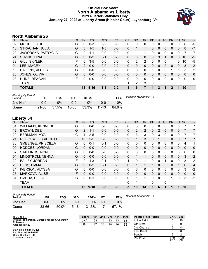## **Official Box Score North Alabama vs Liberty Third Quarter Statistics Only January 27, 2022 at Liberty Arena (Hiepler Court) - Lynchburg, Va.**



# **North Alabama 26**

| No. | Plaver                 | S | <b>Pts</b>    | <b>FG</b> | 3FG     | <b>FT</b> | <b>OR</b> | DR | TR | <b>PF</b> | A            | TO | <b>BIK</b> | Stl            | Min | $+/-$        |
|-----|------------------------|---|---------------|-----------|---------|-----------|-----------|----|----|-----------|--------------|----|------------|----------------|-----|--------------|
| 02  | MOORE, JADE            | G | 0             | $0 - 3$   | $0 - 2$ | $0-0$     | $\Omega$  | 0  | 0  | 0         | 0            | 0  | 0          | 0              | 8   | $-5$         |
| 13  | STRACHAN, JULIA        | G | 3             | $1 - 5$   | $1 - 5$ | $0 - 0$   | 0         |    | 1  | 0         | $\mathbf{0}$ | 0  | 0          | $\mathbf{0}$   | 8   | $-7$         |
| 22  | JAWORSKA, PATRYCJA     | G | 2             | 1-1       | $0-0$   | $0-0$     | $\Omega$  |    | 1  | 0         | 0            | 0  | 0          | 0              |     | $-7$         |
| 24  | SUZUKI, HINA           | G | 0             | $0 - 2$   | $0 - 1$ | $0 - 0$   | $\Omega$  | 0  | 0  | 0         | 3            |    | 0          | 0              | 10  | $-5$         |
| -32 | GILL, SKYLER           | F | 6             | $3 - 5$   | $0 - 0$ | $0 - 0$   | 0         | 2  | 2  | O         | 0            |    |            | 0              | 10  | -5           |
| 04  | LEE, MACEY             | G | $\mathcal{P}$ | $0 - 0$   | $0 - 0$ | $2 - 2$   | $\Omega$  | 0  | 0  | 0         | 0            | 0  | 0          | $\Omega$       | 3   | 2            |
| 15  | <b>CALLINS, ALEXIS</b> | G | U             | $0 - 0$   | $0-0$   | $0-0$     | 0         | 0  | 0  |           | 0            |    |            |                | 3   | 2            |
| 20  | JONES, OLIVIA          | G | 0             | $0 - 0$   | $0 - 0$ | $0 - 0$   | 0         | 0  | 0  | 0         | 0            | 0  | 0          | $\overline{0}$ | 0   | $\mathbf 0$  |
| 23  | HUNE, REAGAN           | F | U             | $0 - 0$   | $0-0$   | $0-0$     | 0         | 0  | 0  | 0         | 0            | 0  | 0          | 0              | 0   | $\mathbf{0}$ |
|     | TEAM                   |   |               |           |         |           |           | 2  | 3  | 0         |              | 0  |            |                |     |              |
|     | <b>TOTALS</b>          |   | 13            | $5 - 16$  | $1 - 8$ | $2 - 2$   |           | 6  |    |           | 3            |    | 2          | п              | 50  |              |

| <b>Shooting By Period</b><br>Period | FG    | FG%   | 3FG       | 3FG%  | FТ        | FT%   | Deadball Rebounds: 1,0 |
|-------------------------------------|-------|-------|-----------|-------|-----------|-------|------------------------|
| 2nd Half                            | 0-0   | 0%    | 0-0       | 2%    | ი-ი       | 0%    |                        |
| Game                                | 21-56 | 37.5% | $10 - 30$ | 33.3% | $11 - 13$ | 84.6% |                        |

# **Liberty 34**

| No. | Player                      | S  | Pts            | <b>FG</b> | 3FG     | <b>FT</b> | <b>OR</b> | <b>DR</b>      | <b>TR</b>    | PF | A             | <b>TO</b> | <b>Blk</b> | Stl          | Min            | $+/-$          |
|-----|-----------------------------|----|----------------|-----------|---------|-----------|-----------|----------------|--------------|----|---------------|-----------|------------|--------------|----------------|----------------|
| 01  | <b>WILLIAMS, KENNEDI</b>    | G  | 0              | $0-0$     | $0 - 0$ | $0-0$     | 0         | 0              | 0            | 0  | 0             | 0         | 0          | 0            |                | 7              |
| 12  | <b>BROWN, DEE</b>           | G  | $\overline{2}$ | $1 - 1$   | $0 - 0$ | $0 - 0$   | 0         | $\overline{2}$ | 2            | 0  | $\mathcal{P}$ | $\Omega$  | 0          | $\mathbf{0}$ | 7              | 7              |
| 20  | <b>BERKMAN, MYA</b>         | С  | 4              | $2 - 5$   | $0 - 0$ | $0-0$     | 0         | 3              | 3            | 0  | 3             | $\Omega$  | 0          | $\mathbf{0}$ |                | 7              |
| 21  | <b>RETTSTATT, BRIDGETTE</b> | F  | 10             | $5 - 5$   | $0 - 0$ | $0 - 0$   | 2         | 1              | 3            | 0  |               | $\Omega$  | $\Omega$   | $\mathbf{0}$ |                | 7              |
| 30  | SMEENGE, PRISCILLA          | G  | $\Omega$       | $0 - 1$   | $0 - 1$ | $0-0$     | 0         | 0              | $\mathbf{0}$ | 0  | 0             | $\Omega$  | 0          | 0            | 4              | 1              |
| 00  | <b>HODGES, JORDAN</b>       | G  | $\Omega$       | $0 - 0$   | $0 - 0$ | $0 - 0$   | $\Omega$  | 0              | $\Omega$     | 0  | $\mathbf{0}$  | $\Omega$  | $\Omega$   | $\Omega$     | $\Omega$       | $\Omega$       |
| 02  | STALLINGS, NYAH             | G  | $\Omega$       | $0-0$     | $0 - 0$ | $0-0$     | 0         | 0              | 0            | 0  | 0             | 0         | 0          | 0            | 0              | 0              |
| 04  | LINDSTROM, NENNA            | G  | $\Omega$       | $0 - 0$   | $0 - 0$ | $0 - 0$   | $\Omega$  | 1              | 1            | 0  | $\Omega$      | $\Omega$  | $\Omega$   | $\Omega$     | 3              | $-2$           |
| 22  | <b>BAILEY, JORDAN</b>       | F. | 2              | $1 - 3$   | $0 - 1$ | $0 - 0$   | 1         | 0              | 1            | 0  | 0             |           | $\Omega$   | $\Omega$     | 3              | $-2$           |
| 23  | <b>HESS, EMMA</b>           | G  | $\Omega$       | $0 - 2$   | $0 - 1$ | $0 - 0$   | 0         |                | $\mathbf{1}$ |    | 0             | 0         | 0          |              | 6              | $\overline{4}$ |
| 24  | <b>IVERSON, ALYSSA</b>      | G  | $\Omega$       | $0 - 0$   | $0 - 0$ | $0-0$     | 0         | 0              | $\mathbf{0}$ | 0  | $\Omega$      | $\Omega$  | 0          | $\Omega$     | 3              | $-2$           |
| 25  | MARKOVA, ALISE              | F  | 0              | $0 - 0$   | $0 - 0$ | $0 - 0$   | $\Omega$  | 0              | $\Omega$     | 0  | $\mathbf{0}$  | $\Omega$  | $\Omega$   | $\Omega$     | $\overline{0}$ | $\overline{0}$ |
| 31  | SMUDA, BELLA                | С  | $\Omega$       | $0 - 1$   | $0 - 0$ | $0 - 0$   | 0         |                | 1            | 0  | 0             | $\Omega$  |            | $\Omega$     | 3              | $-2$           |
|     | <b>TEAM</b>                 |    |                |           |         |           | 0         | 1              | 1            | 0  |               | 0         |            |              |                |                |
|     | <b>TOTALS</b>               |    | 18             | $9 - 18$  | $0 - 3$ | $0-0$     | 3         | 10             | 13           |    | 6             |           | 1          |              | 50             |                |

| <b>Shooting By Period</b><br>Period | FG        | FG%   | 3FG      | 3FG%  | FT      | FT%   | Deadball Rebounds: 1,0 |
|-------------------------------------|-----------|-------|----------|-------|---------|-------|------------------------|
| 2nd Half                            | 0-0       | 0%    | 0-0      | ገ%    | $0 - 0$ | 0%    |                        |
| Game                                | $33 - 66$ | 50.0% | $5 - 16$ | 31.3% | 4-7     | 57.1% |                        |

| Game Notes:                                                            | Score | 1st | 2nd | 3rd | 4th | <b>TOT</b> | <b>Points (This Period)</b> | <b>UNA</b>    | LIB           |
|------------------------------------------------------------------------|-------|-----|-----|-----|-----|------------|-----------------------------|---------------|---------------|
| Officials: Toni Patillo, Danielle Jackson, Courtney<br><b>Robinson</b> | UNA   | 23  | 14  | 13  | 13  | 63         | In the Paint                |               | 16            |
| Attendance: 687                                                        | LIB   |     | 24  | 18  | 16  | 75         | Off Turns                   |               |               |
|                                                                        |       |     |     |     |     |            | 2nd Chance                  |               |               |
| Start Time: 03:31 PM ET<br>End Time: 05:16 PM ET                       |       |     |     |     |     |            | Fast Break                  |               |               |
| Game Duration: 1:45                                                    |       |     |     |     |     |            | Bench                       |               |               |
| Conference Game:                                                       |       |     |     |     |     |            | Per Poss                    | 0.765<br>6/17 | 1.125<br>9/16 |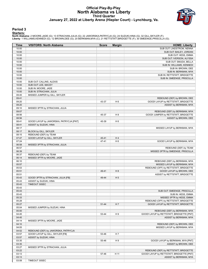## **Official Play-By-Play North Alabama vs Liberty Third Quarter January 27, 2022 at Liberty Arena (Hiepler Court) - Lynchburg, Va.**



#### **Period 3**

#### **Starters:**

North Alabama: 2 MOORE,JADE (G); 13 STRACHAN,JULIA (G); 22 JAWORSKA,PATRYCJA (G); 24 SUZUKI,HINA (G); 32 GILL,SKYLER (F);<br>Liberty: 1 WILLIAMS,KENNEDI (G); 12 BROWN,DEE (G); 20 BERKMAN,MYA (C); 21 RETTSTATT,BRIDGETTE (F); 3

| Time           | <b>VISITORS: North Alabama</b>          | <b>Score</b> | <b>Margin</b>  | <b>HOME: Liberty</b>                                        |
|----------------|-----------------------------------------|--------------|----------------|-------------------------------------------------------------|
| 10:00          |                                         |              |                | SUB OUT: LINDSTROM, NENNA                                   |
| 10:00          |                                         |              |                | SUB OUT: BAILEY, JORDAN                                     |
| 10:00          |                                         |              |                | SUB OUT: HESS, EMMA                                         |
| 10:00          |                                         |              |                | SUB OUT: IVERSON, ALYSSA                                    |
| 10:00          |                                         |              |                | SUB OUT: SMUDA, BELLA                                       |
| 10:00          |                                         |              |                | SUB IN: WILLIAMS, KENNEDI                                   |
| 10:00          |                                         |              |                | SUB IN: BROWN, DEE                                          |
| 10:00          |                                         |              |                | SUB IN: BERKMAN, MYA                                        |
| 10:00          |                                         |              |                | SUB IN: RETTSTATT, BRIDGETTE                                |
| 10:00<br>10:00 | SUB OUT: CALLINS, ALEXIS                |              |                | SUB IN: SMEENGE, PRISCILLA                                  |
| 10:00          | SUB OUT: LEE, MACEY                     |              |                |                                                             |
| 10:00          | SUB IN: MOORE, JADE                     |              |                |                                                             |
| 10:00          | SUB IN: STRACHAN, JULIA                 |              |                |                                                             |
| 09:45          | MISSED JUMPER by GILL, SKYLER           |              |                |                                                             |
| 09:41          |                                         |              |                | REBOUND (DEF) by BROWN, DEE                                 |
| 09:20          |                                         | 43-37        | H <sub>6</sub> | GOOD! LAYUP by RETTSTATT, BRIDGETTE                         |
| 09:20          |                                         |              |                | ASSIST by BERKMAN, MYA                                      |
| 09:10          | MISSED 3PTR by STRACHAN, JULIA          |              |                |                                                             |
| 09:07          |                                         |              |                | REBOUND (DEF) by BERKMAN, MYA                               |
| 08:56          |                                         | 45-37        | H <sub>8</sub> | GOOD! JUMPER by RETTSTATT, BRIDGETTE                        |
| 08:56          |                                         |              |                | ASSIST by BROWN, DEE                                        |
| 08:41          | GOOD! LAYUP by JAWORSKA, PATRYCJA [PNT] | 45-39        | H <sub>6</sub> |                                                             |
| 08:41          | ASSIST by SUZUKI, HINA                  |              |                |                                                             |
| 08:17          |                                         |              |                | MISSED LAYUP by BERKMAN, MYA                                |
| 08:17          | BLOCK by GILL, SKYLER                   |              |                |                                                             |
| 08:15          | REBOUND (DEF) by TEAM                   |              |                |                                                             |
| 07:47          | GOOD! LAYUP by GILL, SKYLER             | 45-41        | H4             |                                                             |
| 07:24          |                                         | 47-41        | H <sub>6</sub> | GOOD! LAYUP by BERKMAN, MYA                                 |
| 06:58          | MISSED 3PTR by STRACHAN, JULIA          |              |                |                                                             |
| 06:57          |                                         |              |                | REBOUND (DEF) by TEAM                                       |
| 06:39          |                                         |              |                | MISSED 3PTR by SMEENGE, PRISCILLA                           |
| 06:37          | REBOUND (DEF) by TEAM                   |              |                |                                                             |
| 06:14          | MISSED 3PTR by MOORE, JADE              |              |                |                                                             |
| 06:10          |                                         |              |                | REBOUND (DEF) by BERKMAN, MYA                               |
| 05:57          |                                         |              |                | MISSED LAYUP by BERKMAN, MYA                                |
| 05:53<br>05:51 |                                         | 49-41        | H 8            | REBOUND (OFF) by RETTSTATT, BRIDGETTE                       |
| 05:51          |                                         |              |                | GOOD! LAYUP by BROWN, DEE<br>ASSIST by RETTSTATT, BRIDGETTE |
| 05:43          | GOOD! 3PTR by STRACHAN, JULIA [FB]      | 49-44        | H <sub>5</sub> |                                                             |
| 05:43          | ASSIST by SUZUKI, HINA                  |              |                |                                                             |
| 05:43          | TIMEOUT 30SEC                           |              |                |                                                             |
| 05:43          |                                         |              |                |                                                             |
| 05:43          |                                         |              |                | SUB OUT: SMEENGE, PRISCILLA                                 |
| 05:43          |                                         |              |                | SUB IN: HESS, EMMA                                          |
| 05:33          |                                         |              |                | MISSED 3PTR by HESS, EMMA                                   |
| 05:28          |                                         |              |                | REBOUND (OFF) by RETTSTATT, BRIDGETTE                       |
| 05:27          |                                         | 51-44        | H 7            | GOOD! LAYUP by RETTSTATT, BRIDGETTE                         |
| 05:04          | MISSED JUMPER by SUZUKI, HINA           |              |                |                                                             |
| 05:00          |                                         |              |                | REBOUND (DEF) by BERKMAN, MYA                               |
| 04:45          |                                         | 53-44        | H9             | GOOD! LAYUP by RETTSTATT, BRIDGETTE [PNT]                   |
| 04:45          |                                         |              |                | ASSIST by BERKMAN, MYA                                      |
| 04:14          | MISSED 3PTR by MOORE, JADE              |              |                |                                                             |
| 04:10          |                                         |              |                | REBOUND (DEF) by BROWN, DEE                                 |
| 04:05          |                                         |              |                | MISSED LAYUP by BERKMAN, MYA                                |
| 04:02          | REBOUND (DEF) by JAWORSKA, PATRYCJA     |              |                |                                                             |
| 03:57          | GOOD! LAYUP by GILL, SKYLER [FB]        | 53-46        | H 7            |                                                             |
| 03:57          | ASSIST by SUZUKI, HINA                  |              |                |                                                             |
| 03:35          |                                         | 55-46        | H9             | GOOD! LAYUP by BERKMAN, MYA [PNT]                           |
| 03:35          |                                         |              |                | ASSIST by BROWN, DEE                                        |
| 03:27          | MISSED 3PTR by STRACHAN, JULIA          |              |                |                                                             |
| 03:22          |                                         |              |                | REBOUND (DEF) by RETTSTATT, BRIDGETTE                       |
| 03:13          |                                         | 57-46        | H 11           | GOOD! LAYUP by RETTSTATT, BRIDGETTE [PNT]                   |
| 03:13          |                                         |              |                | ASSIST by BERKMAN, MYA                                      |
| 03:08          | TIMEOUT 30SEC                           |              |                |                                                             |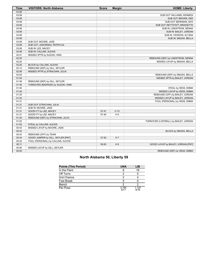| Time  | <b>VISITORS: North Alabama</b>     | <b>Score</b> | <b>Margin</b>  | <b>HOME: Liberty</b>                  |
|-------|------------------------------------|--------------|----------------|---------------------------------------|
| 03:08 |                                    |              |                |                                       |
| 03:08 |                                    |              |                | SUB OUT: WILLIAMS, KENNEDI            |
| 03:08 |                                    |              |                | SUB OUT: BROWN, DEE                   |
| 03:08 |                                    |              |                | SUB OUT: BERKMAN, MYA                 |
| 03:08 |                                    |              |                | SUB OUT: RETTSTATT, BRIDGETTE         |
| 03:08 |                                    |              |                | SUB IN: LINDSTROM, NENNA              |
| 03:08 |                                    |              |                | SUB IN: BAILEY, JORDAN                |
| 03:08 |                                    |              |                | SUB IN: IVERSON, ALYSSA               |
| 03:08 |                                    |              |                | SUB IN: SMUDA, BELLA                  |
| 03:08 | SUB OUT: MOORE, JADE               |              |                |                                       |
| 03:08 | SUB OUT: JAWORSKA, PATRYCJA        |              |                |                                       |
| 03:08 | SUB IN: LEE, MACEY                 |              |                |                                       |
| 03:08 | SUB IN: CALLINS, ALEXIS            |              |                |                                       |
| 02:41 | MISSED 3PTR by SUZUKI, HINA        |              |                |                                       |
| 02:35 |                                    |              |                | REBOUND (DEF) by LINDSTROM, NENNA     |
| 02:20 |                                    |              |                | MISSED LAYUP by SMUDA, BELLA          |
| 02:20 | BLOCK by CALLINS, ALEXIS           |              |                |                                       |
| 02:12 | REBOUND (DEF) by GILL, SKYLER      |              |                |                                       |
| 02:08 | MISSED 3PTR by STRACHAN, JULIA     |              |                |                                       |
| 02:04 |                                    |              |                | REBOUND (DEF) by SMUDA, BELLA         |
| 01:54 |                                    |              |                | MISSED 3PTR by BAILEY, JORDAN         |
| 01:49 | REBOUND (DEF) by GILL, SKYLER      |              |                |                                       |
| 01:45 | TURNOVER (BADPASS) by SUZUKI, HINA |              |                |                                       |
| 01:45 |                                    |              |                | STEAL by HESS, EMMA                   |
| 01:40 |                                    |              |                | MISSED LAYUP by HESS, EMMA            |
| 01:35 |                                    |              |                | REBOUND (OFF) by BAILEY, JORDAN       |
| 01:34 |                                    |              |                | MISSED LAYUP by BAILEY, JORDAN        |
| 01:31 |                                    |              |                | FOUL (PERSONAL) by HESS, EMMA         |
| 01:31 | SUB OUT: STRACHAN, JULIA           |              |                |                                       |
| 01:31 | SUB IN: MOORE, JADE                |              |                |                                       |
| 01:31 | GOOD! FT by LEE, MACEY             | 57-47        | H 10           |                                       |
| 01:31 | GOOD! FT by LEE, MACEY             | 57-48        | H <sub>9</sub> |                                       |
| 01:30 | REBOUND (DEF) by STRACHAN, JULIA   |              |                |                                       |
| 01:02 |                                    |              |                | TURNOVER (LOSTBALL) by BAILEY, JORDAN |
| 01:02 | STEAL by CALLINS, ALEXIS           |              |                |                                       |
| 00:43 | MISSED LAYUP by MOORE, JADE        |              |                |                                       |
| 00:43 |                                    |              |                | BLOCK by SMUDA, BELLA                 |
| 00:43 | REBOUND (OFF) by TEAM              |              |                |                                       |
| 00:34 | GOOD! JUMPER by GILL, SKYLER [PNT] | 57-50        | H <sub>7</sub> |                                       |
| 00:24 | FOUL (PERSONAL) by CALLINS, ALEXIS |              |                |                                       |
| 00:11 |                                    | 59-50        | H9             | GOOD! LAYUP by BAILEY, JORDAN [PNT]   |
| 00:00 | MISSED LAYUP by GILL, SKYLER       |              |                |                                       |
| 00:00 |                                    |              |                | REBOUND (DEF) by HESS, EMMA           |

# **North Alabama 50, Liberty 59**

| <b>Points (This Period)</b> | <b>UNA</b>    | LIB           |
|-----------------------------|---------------|---------------|
| In the Paint                |               | 16            |
| Off Turns                   |               |               |
| 2nd Chance                  |               |               |
| Fast Break                  |               |               |
| Bench                       |               |               |
| Per Poss                    | 0.765<br>6/17 | 1.125<br>9/16 |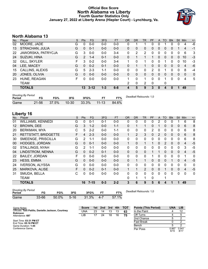## **Official Box Score North Alabama vs Liberty Fourth Quarter Statistics Only January 27, 2022 at Liberty Arena (Hiepler Court) - Lynchburg, Va.**



# **North Alabama 13**

| No. | Plaver                 | S | <b>Pts</b> | <b>FG</b> | 3FG     | <b>FT</b> | <b>OR</b>    | DR           | TR | PF | A            | TO       | <b>BIK</b> | Stl          | Min            | $+/-$       |
|-----|------------------------|---|------------|-----------|---------|-----------|--------------|--------------|----|----|--------------|----------|------------|--------------|----------------|-------------|
| 02  | MOORE, JADE            | G | 0          | $0 - 0$   | $0-0$   | $0-0$     | 0            |              |    | 0  | 0            |          | 0          | 0            | 4              | $-6$        |
| 13  | STRACHAN, JULIA        | G | 0          | $0 - 1$   | $0 - 0$ | $0-0$     | $\mathbf{0}$ | 0            | 0  | 0  | $\mathbf{0}$ | $\Omega$ | 0          |              | 4              | $-1$        |
| 22  | JAWORSKA, PATRYCJA     | G | 3          | $0 - 0$   | $0-0$   | $3 - 4$   | 0            | 2            | 2  | 0  | 0            | $\Omega$ | 0          | 0            | 6              | 3           |
| 24  | SUZUKI, HINA           | G | 2          | 1-4       | $0 - 1$ | $0-0$     | $\Omega$     |              |    |    | $\Omega$     | $\Omega$ | $\Omega$   | 0            | 10             | $-3$        |
| 32  | GILL, SKYLER           | F | 3          | $0 - 2$   | $0-0$   | $3 - 4$   | 1            | 0            | 1  | 0  | 0            |          | 0          | 0            | 10             | -3          |
| 04  | LEE, MACEY             | G | 0          | $0 - 2$   | $0 - 1$ | $0 - 0$   | 0            |              | 1  | 0  | 0            | 0        | 0          | 0            | 4              | -6          |
| 15  | <b>CALLINS, ALEXIS</b> | G | 5          | $2 - 3$   | 1-1     | $0 - 0$   | 0            | 0            | 0  | 2  | 0            |          | 0          | 0            | 8              | -4          |
| 20  | JONES, OLIVIA          | G | 0          | $0 - 0$   | $0 - 0$ | $0 - 0$   | $\Omega$     | 0            | 0  | 0  | $\mathbf{0}$ | $\Omega$ | 0          | $\mathbf{0}$ | $\overline{0}$ | $\mathbf 0$ |
| 23  | HUNE, REAGAN           | F | 0          | $0 - 0$   | $0-0$   | $0 - 0$   | 1            | 0            | 1  | 0  | $\mathbf{0}$ |          | 0          | 0            | 4              | 5           |
|     | TEAM                   |   |            |           |         |           | 2            | $\mathbf{0}$ | 2  | 0  |              | 0        |            |              |                |             |
|     | <b>TOTALS</b>          |   | 13         | $3 - 12$  | $1 - 3$ | $6 - 8$   | 4            | 5            | 9  | 3  | $\Omega$     | 4        | 0          | 1            | 49             |             |

| <b>Shooting By Period</b><br>Period |       | FG%   | 3FG       | 3FG%     |           | FT%   | Deadball Rebounds: 1,0 |
|-------------------------------------|-------|-------|-----------|----------|-----------|-------|------------------------|
| Game                                | 21-56 | 37.5% | $10 - 30$ | $33.3\%$ | $11 - 13$ | 84.6% |                        |

# **Liberty 16**

| No. | Player                   | S  | Pts            | <b>FG</b> | 3FG     | <b>FT</b> | <b>OR</b>    | <b>DR</b> | <b>TR</b>      | PF | A            | <b>TO</b>    | <b>Blk</b>   | <b>Stl</b>   | Min            | $+/-$        |
|-----|--------------------------|----|----------------|-----------|---------|-----------|--------------|-----------|----------------|----|--------------|--------------|--------------|--------------|----------------|--------------|
| 01  | <b>WILLIAMS, KENNEDI</b> | G  | 0              | $0 - 1$   | $0 - 1$ | $0-0$     | $\mathbf{0}$ | 0         | 0              | 0  | 2            | 0            | 0            |              | 6              | 8            |
| 12  | <b>BROWN, DEE</b>        | G  | 3              | $1 - 2$   | $0 - 0$ | $1 - 1$   | $\Omega$     |           | 1              | 0  |              | $\mathbf{0}$ | $\mathbf{0}$ | $\mathbf{0}$ | 6              | 8            |
| 20  | <b>BERKMAN, MYA</b>      | С  | 5              | $2 - 2$   | $0 - 0$ | $1 - 1$   | 0            | 0         | 0              | 2  | 0            | 0            | 0            | 0            | 6              | 8            |
| 21  | RETTSTATT, BRIDGETTE     | F. | 4              | $2 - 3$   | $0 - 0$ | $0 - 0$   | 1            | 2         | 3              | 0  | 2            | $\Omega$     | $\Omega$     | $\mathbf{0}$ | 6              | 8            |
| 30  | SMEENGE, PRISCILLA       | G  | 2              | $1 - 1$   | $0 - 0$ | $0 - 0$   | 0            | 0         | 0              | 0  | $\mathbf{0}$ | 0            | 0            | 0            | 6              | 8            |
| 00  | <b>HODGES, JORDAN</b>    | G  | $\Omega$       | $0 - 1$   | $0 - 0$ | $0 - 0$   | 1            | $\Omega$  | 1              | 1  | $\Omega$     | 2            | $\Omega$     | $\Omega$     | $\overline{4}$ | $-5$         |
| 02  | STALLINGS, NYAH          | G  | $\overline{2}$ | $1 - 1$   | $0 - 0$ | $0-0$     | 0            | 0         | $\mathbf{0}$   | 0  | 0            | $\Omega$     | 0            | 0            | 3              | $-5$         |
| 04  | LINDSTROM, NENNA         | G  | $\Omega$       | $0 - 2$   | $0 - 1$ | $0-0$     | $\Omega$     | 0         | 0              |    |              | $\Omega$     | $\Omega$     | $\mathbf{0}$ | 4              | $-5$         |
| 22  | <b>BAILEY, JORDAN</b>    | F  | 0              | $0 - 0$   | $0 - 0$ | $0 - 0$   | 0            | 0         | $\mathbf{0}$   |    | 0            | $\Omega$     | 0            | 0            |                | 0            |
| 23  | <b>HESS, EMMA</b>        | G  | 0              | $0 - 0$   | $0 - 0$ | $0 - 0$   | $\Omega$     | 1         | 1              | 0  | $\Omega$     | $\Omega$     | 1            | $\Omega$     | 4              | $-5$         |
| 24  | <b>IVERSON, ALYSSA</b>   | G  | 0              | $0 - 0$   | $0 - 0$ | $0 - 0$   | $\Omega$     | 0         | $\mathbf{0}$   | 0  | $\Omega$     | $\Omega$     | 0            | $\Omega$     | $\mathbf{0}$   | 0            |
| 25  | MARKOVA, ALISE           | F  | 0              | $0 - 2$   | $0 - 1$ | $0 - 0$   |              | 1         | $\overline{2}$ | 0  | $\mathbf{0}$ |              | 0            | $\mathbf{0}$ | $\overline{4}$ | $-5$         |
| 31  | SMUDA, BELLA             | C  | 0              | $0 - 0$   | $0 - 0$ | $0 - 0$   | $\Omega$     | 0         | $\Omega$       | 0  | 0            | $\Omega$     | 0            | $\Omega$     | $\Omega$       | $\mathbf{0}$ |
|     | <b>TEAM</b>              |    |                |           |         |           | 0            | 1         | 1              | 0  |              |              |              |              |                |              |
|     | <b>TOTALS</b>            |    | 16             | $7 - 15$  | $0 - 3$ | $2 - 2$   | 3            | 6         | 9              | 5  | 6            | 4            | 1            | 1            | 49             |              |
|     |                          |    |                |           |         |           |              |           |                |    |              |              |              |              |                |              |

| <b>Shooting By Period</b><br>Period | FG        | FG%      | 3FG      | 3FG%     | FТ      | FT%   | Deadball Rebounds: 1,0 |
|-------------------------------------|-----------|----------|----------|----------|---------|-------|------------------------|
| Game                                | $33 - 66$ | $50.0\%$ | $5 - 16$ | $31.3\%$ | $4 - 7$ | 57.1% |                        |

| Game Notes:                                         | <b>Score</b> | 1st. | $\blacksquare$ 2nd | 3rd | 4th | <b>TOT</b> | <b>Points (This Period)</b> | <b>UNA</b>    | <b>LIB</b>    |
|-----------------------------------------------------|--------------|------|--------------------|-----|-----|------------|-----------------------------|---------------|---------------|
| Officials: Toni Patillo, Danielle Jackson, Courtney | UNA          | 23   | 14                 | 13  |     | 63         | In the Paint                |               |               |
| <b>Robinson</b><br>Attendance: 687                  | LIB          | 17   | 24                 | 18  | 16  | 75         | Off Turns                   |               |               |
|                                                     |              |      |                    |     |     |            | 2nd Chance                  |               |               |
| Start Time: 03:31 PM ET<br>End Time: 05:16 PM ET    |              |      |                    |     |     |            | <b>Fast Break</b>           |               |               |
| Game Duration: 1:45                                 |              |      |                    |     |     |            | Bench                       |               |               |
| Conference Game;                                    |              |      |                    |     |     |            | Per Poss                    | 0.867<br>6/15 | 0.941<br>8/17 |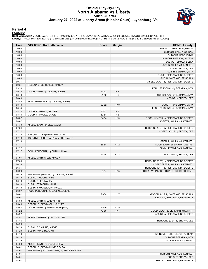## **Official Play-By-Play North Alabama vs Liberty Fourth Quarter January 27, 2022 at Liberty Arena (Hiepler Court) - Lynchburg, Va.**



#### **Period 4**

#### **Starters:**

North Alabama: 2 MOORE,JADE (G); 13 STRACHAN,JULIA (G); 22 JAWORSKA,PATRYCJA (G); 24 SUZUKI,HINA (G); 32 GILL,SKYLER (F);<br>Liberty: 1 WILLIAMS,KENNEDI (G); 12 BROWN,DEE (G); 20 BERKMAN,MYA (C); 21 RETTSTATT,BRIDGETTE (F); 3

| Time           | <b>VISITORS: North Alabama</b>         | <b>Score</b> | <b>Margin</b>  | <b>HOME: Liberty</b>                                  |
|----------------|----------------------------------------|--------------|----------------|-------------------------------------------------------|
| 10:00          |                                        |              |                | SUB OUT: LINDSTROM, NENNA                             |
| 10:00          |                                        |              |                | SUB OUT: BAILEY, JORDAN                               |
| 10:00          |                                        |              |                | SUB OUT: HESS, EMMA                                   |
| 10:00          |                                        |              |                | SUB OUT: IVERSON, ALYSSA                              |
| 10:00          |                                        |              |                | SUB OUT: SMUDA, BELLA                                 |
| 10:00          |                                        |              |                | SUB IN: WILLIAMS, KENNEDI                             |
| 10:00          |                                        |              |                | SUB IN: BROWN, DEE                                    |
| 10:00          |                                        |              |                | SUB IN: BERKMAN, MYA                                  |
| 10:00          |                                        |              |                | SUB IN: RETTSTATT, BRIDGETTE                          |
| 10:00          |                                        |              |                | SUB IN: SMEENGE, PRISCILLA                            |
| 09:31<br>09:31 |                                        |              |                | MISSED LAYUP by RETTSTATT, BRIDGETTE                  |
| 09:30          | REBOUND (DEF) by LEE, MACEY            |              |                | FOUL (PERSONAL) by BERKMAN, MYA                       |
| 09:13          | GOOD! LAYUP by CALLINS, ALEXIS         | 59-52        | H <sub>7</sub> |                                                       |
| 08:40          |                                        | 61-52        | H9             | GOOD! LAYUP by BERKMAN, MYA                           |
| 08:40          |                                        |              |                | ASSIST by BROWN, DEE                                  |
| 08:40          | FOUL (PERSONAL) by CALLINS, ALEXIS     |              |                |                                                       |
| 08:40          |                                        | 62-52        | H 10           | GOOD! FT by BERKMAN, MYA                              |
| 08:14          |                                        |              |                | FOUL (PERSONAL) by BERKMAN, MYA                       |
| 08:14          | GOOD! FT by GILL, SKYLER               | 62-53        | H9             |                                                       |
| 08:14          | GOOD! FT by GILL, SKYLER               | 62-54        | H <sub>8</sub> |                                                       |
| 08:02          |                                        | 64-54        | H 10           | GOOD! JUMPER by RETTSTATT, BRIDGETTE                  |
| 08:02          |                                        |              |                | ASSIST by WILLIAMS, KENNEDI                           |
| 07:38          | MISSED LAYUP by LEE, MACEY             |              |                |                                                       |
| 07:34          |                                        |              |                | REBOUND (DEF) by RETTSTATT, BRIDGETTE                 |
| 07:22          |                                        |              |                | MISSED LAYUP by BROWN, DEE                            |
| 07:18          | REBOUND (DEF) by MOORE, JADE           |              |                |                                                       |
| 07:18          | TURNOVER (LOSTBALL) by MOORE, JADE     |              |                |                                                       |
| 07:18          |                                        |              |                | STEAL by WILLIAMS, KENNEDI                            |
| 07:17          |                                        | 66-54        | H 12           | GOOD! LAYUP by BROWN, DEE [FB]                        |
| 07:17          |                                        |              |                | ASSIST by WILLIAMS, KENNEDI                           |
| 07:17          | FOUL (PERSONAL) by SUZUKI, HINA        |              |                |                                                       |
| 07:17<br>07:07 |                                        | 67-54        | H 13           | GOOD! FT by BROWN, DEE                                |
| 07:03          | MISSED 3PTR by LEE, MACEY              |              |                | REBOUND (DEF) by RETTSTATT, BRIDGETTE                 |
| 06:36          |                                        |              |                | MISSED 3PTR by WILLIAMS, KENNEDI                      |
| 06:31          |                                        |              |                | REBOUND (OFF) by RETTSTATT, BRIDGETTE                 |
| 06:29          |                                        | 69-54        | H 15           | GOOD! LAYUP by RETTSTATT, BRIDGETTE [PNT]             |
| 06:19          | TURNOVER (TRAVEL) by CALLINS, ALEXIS   |              |                |                                                       |
| 06:19          | SUB OUT: MOORE, JADE                   |              |                |                                                       |
| 06:19          | SUB OUT: LEE, MACEY                    |              |                |                                                       |
| 06:19          | SUB IN: STRACHAN, JULIA                |              |                |                                                       |
| 06:19          | SUB IN: JAWORSKA, PATRYCJA             |              |                |                                                       |
| 06:07          | FOUL (PERSONAL) by CALLINS, ALEXIS     |              |                |                                                       |
| 06:01          |                                        | 71-54        | H 17           | GOOD! LAYUP by SMEENGE, PRISCILLA                     |
| 06:01          |                                        |              |                | ASSIST by RETTSTATT, BRIDGETTE                        |
| 05:53          | MISSED 3PTR by SUZUKI, HINA            |              |                |                                                       |
| 05:48          | REBOUND (OFF) by GILL, SKYLER          |              |                |                                                       |
| 05:42          | GOOD! LAYUP by SUZUKI, HINA [PNT]      | 71-56        | H 15           |                                                       |
| 05:22          |                                        | 73-56        | H 17           | GOOD! LAYUP by BERKMAN, MYA [PNT]                     |
| 05:22          |                                        |              |                | ASSIST by RETTSTATT, BRIDGETTE                        |
| 04:51          | MISSED JUMPER by GILL, SKYLER          |              |                |                                                       |
| 04:46          |                                        |              |                | REBOUND (DEF) by BROWN, DEE                           |
| 04:23          |                                        |              |                |                                                       |
| 04:23<br>04:23 | SUB OUT: CALLINS, ALEXIS               |              |                |                                                       |
|                | SUB IN: HUNE, REAGAN                   |              |                |                                                       |
| 04:19<br>04:19 |                                        |              |                | TURNOVER (SHOTCLOCK) by TEAM<br>SUB OUT: BERKMAN, MYA |
| 04:19          |                                        |              |                | SUB IN: BAILEY, JORDAN                                |
| 04:03          | MISSED LAYUP by SUZUKI, HINA           |              |                |                                                       |
| 04:01          | REBOUND (OFF) by HUNE, REAGAN          |              |                |                                                       |
| 04:01          | TURNOVER (OUTOFBOUNDS) by HUNE, REAGAN |              |                |                                                       |
| 04:01          |                                        |              |                | SUB OUT: WILLIAMS, KENNEDI                            |
| 04:01          |                                        |              |                | SUB OUT: BROWN, DEE                                   |
| 04:01          |                                        |              |                | SUB OUT: RETTSTATT, BRIDGETTE                         |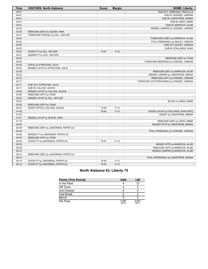| Time  | <b>VISITORS: North Alabama</b>      | <b>Score</b> | <b>Margin</b> | <b>HOME: Liberty</b>                     |
|-------|-------------------------------------|--------------|---------------|------------------------------------------|
| 04:01 |                                     |              |               | SUB OUT: SMEENGE, PRISCILLA              |
| 04:01 |                                     |              |               | SUB IN: HODGES, JORDAN                   |
| 04:01 |                                     |              |               | SUB IN: LINDSTROM, NENNA                 |
| 04:01 |                                     |              |               | SUB IN: HESS, EMMA                       |
| 04:01 |                                     |              |               | SUB IN: MARKOVA, ALISE                   |
| 03:34 |                                     |              |               | MISSED JUMPER by HODGES, JORDAN          |
| 03:30 | REBOUND (DEF) by SUZUKI, HINA       |              |               |                                          |
| 03:21 | TURNOVER (TRAVEL) by GILL, SKYLER   |              |               |                                          |
| 03:04 |                                     |              |               | TURNOVER (3SEC) by MARKOVA, ALISE        |
| 02:52 |                                     |              |               | FOUL (PERSONAL) by BAILEY, JORDAN        |
| 02:52 |                                     |              |               | SUB OUT: BAILEY, JORDAN                  |
| 02:52 |                                     |              |               | SUB IN: STALLINGS, NYAH                  |
| 02:52 | GOOD! FT by GILL, SKYLER            | 73-57        | H 16          |                                          |
| 02:51 | MISSED FT by GILL, SKYLER           |              |               |                                          |
| 02:50 |                                     |              |               | REBOUND (DEF) by TEAM                    |
| 02:48 |                                     |              |               | TURNOVER (BADPASS) by HODGES, JORDAN     |
| 02:48 | STEAL by STRACHAN, JULIA            |              |               |                                          |
| 02:40 | MISSED LAYUP by STRACHAN, JULIA     |              |               |                                          |
| 02:35 |                                     |              |               | REBOUND (DEF) by MARKOVA, ALISE          |
| 02:22 |                                     |              |               | MISSED JUMPER by LINDSTROM, NENNA        |
| 02:18 |                                     |              |               | REBOUND (OFF) by HODGES, JORDAN          |
| 02:17 |                                     |              |               | TURNOVER (OUTOFBOUNDS) by HODGES, JORDAN |
| 02:17 | SUB OUT: STRACHAN, JULIA            |              |               |                                          |
| 02:17 | SUB IN: CALLINS, ALEXIS             |              |               |                                          |
| 02:08 | MISSED LAYUP by CALLINS, ALEXIS     |              |               |                                          |
| 02:08 | REBOUND (OFF) by TEAM               |              |               |                                          |
| 02:05 | MISSED LAYUP by GILL, SKYLER        |              |               |                                          |
| 02:05 |                                     |              |               | BLOCK by HESS, EMMA                      |
| 02:05 | REBOUND (OFF) by TEAM               |              |               |                                          |
| 02:02 | GOOD! 3PTR by CALLINS, ALEXIS       | 73-60        | H 13          |                                          |
| 01:42 |                                     | 75-60        | H 15          | GOOD! LAYUP by STALLINGS, NYAH [PNT]     |
| 01:42 |                                     |              |               | ASSIST by LINDSTROM, NENNA               |
| 01:21 | MISSED LAYUP by SUZUKI, HINA        |              |               |                                          |
| 01:18 |                                     |              |               | REBOUND (DEF) by HESS, EMMA              |
| 00:55 |                                     |              |               | MISSED 3PTR by LINDSTROM, NENNA          |
| 00:49 | REBOUND (DEF) by JAWORSKA, PATRYCJA |              |               |                                          |
| 00:49 |                                     |              |               | FOUL (PERSONAL) by HODGES, JORDAN        |
| 00:49 | MISSED FT by JAWORSKA, PATRYCJA     |              |               |                                          |
| 00:49 | REBOUND (OFF) by TEAM               |              |               |                                          |
| 00:49 | GOOD! FT by JAWORSKA, PATRYCJA      | 75-61        | H 14          |                                          |
| 00:33 |                                     |              |               | MISSED 3PTR by MARKOVA, ALISE            |
| 00:28 |                                     |              |               | REBOUND (OFF) by MARKOVA, ALISE          |
| 00:15 |                                     |              |               | MISSED JUMPER by MARKOVA, ALISE          |
| 00:14 | REBOUND (DEF) by JAWORSKA, PATRYCJA |              |               |                                          |
| 00:14 |                                     |              |               | FOUL (PERSONAL) by LINDSTROM, NENNA      |
| 00:14 | GOOD! FT by JAWORSKA, PATRYCJA      | 75-62        | H 13          |                                          |
| 00:14 | GOOD! FT by JAWORSKA, PATRYCJA      | 75-63        | H 12          |                                          |

# **North Alabama 63, Liberty 75**

| <b>Points (This Period)</b> | <b>UNA</b>    | LIB           |
|-----------------------------|---------------|---------------|
| In the Paint                |               | 12            |
| Off Turns                   |               |               |
| 2nd Chance                  |               |               |
| <b>Fast Break</b>           |               |               |
| Bench                       |               |               |
| Per Poss                    | 0.867<br>6/15 | 0.941<br>8/17 |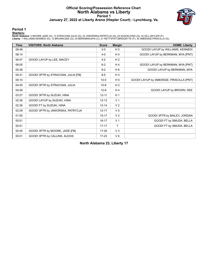# **Official Scoring/Possession Reference Chart North Alabama vs Liberty Period 1 January 27, 2022 at Liberty Arena (Hiepler Court) - Lynchburg, Va.**



#### **Period 1**

#### **Starters:**

North Alabama: 2 MOORE,JADE (G); 13 STRACHAN,JULIA (G); 22 JAWORSKA,PATRYCJA (G); 24 SUZUKI,HINA (G); 32 GILL,SKYLER (F);<br>Liberty: 1 WILLIAMS,KENNEDI (G); 12 BROWN,DEE (G); 20 BERKMAN,MYA (C); 21 RETTSTATT,BRIDGETTE (F); 3

| <b>Time</b> | <b>VISITORS: North Alabama</b>     | <b>Score</b> | <b>Margin</b>  | <b>HOME: Liberty</b>                    |
|-------------|------------------------------------|--------------|----------------|-----------------------------------------|
| 08:48       |                                    | $2 - 0$      | H <sub>2</sub> | GOOD! LAYUP by WILLIAMS, KENNEDI        |
| 08:14       |                                    | $4 - 0$      | H4             | GOOD! LAYUP by BERKMAN, MYA [PNT]       |
| 06:47       | GOOD! LAYUP by LEE, MACEY          | $4 - 2$      | H <sub>2</sub> |                                         |
| 06:05       |                                    | $6 - 2$      | $H_4$          | GOOD! LAYUP by BERKMAN, MYA [PNT]       |
| 05:38       |                                    | $8-2$        | $H_6$          | GOOD! LAYUP by BERKMAN, MYA             |
| 05:31       | GOOD! 3PTR by STRACHAN, JULIA [FB] | $8 - 5$      | $H_3$          |                                         |
| 05:10       |                                    | $10-5$       | H <sub>5</sub> | GOOD! LAYUP by SMEENGE, PRISCILLA [PNT] |
| 04:45       | GOOD! 3PTR by STRACHAN, JULIA      | $10 - 8$     | H <sub>2</sub> |                                         |
| 04:26       |                                    | $12 - 8$     | H <sub>4</sub> | GOOD! LAYUP by BROWN, DEE               |
| 03:27       | GOOD! 3PTR by SUZUKI, HINA         | $12 - 11$    | H <sub>1</sub> |                                         |
| 02:36       | GOOD! LAYUP by SUZUKI, HINA        | $12 - 13$    | V <sub>1</sub> |                                         |
| 02:36       | GOOD! FT by SUZUKI, HINA           | $12 - 14$    | V <sub>2</sub> |                                         |
| 02:09       | GOOD! 3PTR by JAWORSKA, PATRYCJA   | $12 - 17$    | V <sub>5</sub> |                                         |
| 01:50       |                                    | $15 - 17$    | V <sub>2</sub> | GOOD! 3PTR by BAILEY, JORDAN            |
| 00:51       |                                    | $16 - 17$    | V <sub>1</sub> | GOOD! FT by SMUDA, BELLA                |
| 00:51       |                                    | $17 - 17$    | T.             | GOOD! FT by SMUDA, BELLA                |
| 00:45       | GOOD! 3PTR by MOORE, JADE [FB]     | $17 - 20$    | $V_3$          |                                         |
| 00:01       | GOOD! 3PTR by CALLINS, ALEXIS      | $17 - 23$    | $V_6$          |                                         |

**North Alabama 23, Liberty 17**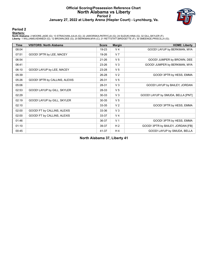# **Official Scoring/Possession Reference Chart North Alabama vs Liberty Period 2 January 27, 2022 at Liberty Arena (Hiepler Court) - Lynchburg, Va.**



#### **Period 2**

#### **Starters:**

North Alabama: 2 MOORE,JADE (G); 13 STRACHAN,JULIA (G); 22 JAWORSKA,PATRYCJA (G); 24 SUZUKI,HINA (G); 32 GILL,SKYLER (F);<br>Liberty: 1 WILLIAMS,KENNEDI (G); 12 BROWN,DEE (G); 20 BERKMAN,MYA (C); 21 RETTSTATT,BRIDGETTE (F); 3

| <b>Time</b> | <b>VISITORS: North Alabama</b> | <b>Score</b> | <b>Margin</b>  | <b>HOME: Liberty</b>              |
|-------------|--------------------------------|--------------|----------------|-----------------------------------|
| 08:04       |                                | 19-23        | V <sub>4</sub> | GOOD! LAYUP by BERKMAN, MYA       |
| 07:51       | GOOD! 3PTR by LEE, MACEY       | 19-26        | V <sub>7</sub> |                                   |
| 06:54       |                                | $21 - 26$    | V <sub>5</sub> | GOOD! JUMPER by BROWN, DEE        |
| 06:41       |                                | 23-26        | $V_3$          | GOOD! JUMPER by BERKMAN, MYA      |
| 06:10       | GOOD! LAYUP by LEE, MACEY      | 23-28        | V <sub>5</sub> |                                   |
| 05:39       |                                | 26-28        | V <sub>2</sub> | GOOD! 3PTR by HESS, EMMA          |
| 05:26       | GOOD! 3PTR by CALLINS, ALEXIS  | 26-31        | V <sub>5</sub> |                                   |
| 05:06       |                                | 28-31        | V <sub>3</sub> | GOOD! LAYUP by BAILEY, JORDAN     |
| 02:53       | GOOD! LAYUP by GILL, SKYLER    | 28-33        | V <sub>5</sub> |                                   |
| 02:29       |                                | $30 - 33$    | V <sub>3</sub> | GOOD! LAYUP by SMUDA, BELLA [PNT] |
| 02:19       | GOOD! LAYUP by GILL, SKYLER    | 30-35        | V <sub>5</sub> |                                   |
| 02:10       |                                | 33-35        | V <sub>2</sub> | GOOD! 3PTR by HESS, EMMA          |
| 02:00       | GOOD! FT by CALLINS, ALEXIS    | 33-36        | V <sub>3</sub> |                                   |
| 02:00       | GOOD! FT by CALLINS, ALEXIS    | 33-37        | V <sub>4</sub> |                                   |
| 01:46       |                                | 36-37        | V <sub>1</sub> | GOOD! 3PTR by HESS, EMMA          |
| 01:10       |                                | 39-37        | H <sub>2</sub> | GOOD! 3PTR by BAILEY, JORDAN [FB] |
| 00:45       |                                | 41-37        | H <sub>4</sub> | GOOD! LAYUP by SMUDA, BELLA       |

**North Alabama 37, Liberty 41**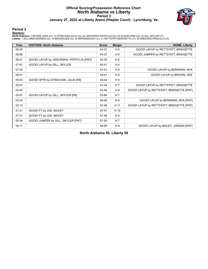# **Official Scoring/Possession Reference Chart North Alabama vs Liberty Period 3 January 27, 2022 at Liberty Arena (Hiepler Court) - Lynchburg, Va.**



#### **Period 3**

#### **Starters:**

North Alabama: 2 MOORE,JADE (G); 13 STRACHAN,JULIA (G); 22 JAWORSKA,PATRYCJA (G); 24 SUZUKI,HINA (G); 32 GILL,SKYLER (F);<br>Liberty: 1 WILLIAMS,KENNEDI (G); 12 BROWN,DEE (G); 20 BERKMAN,MYA (C); 21 RETTSTATT,BRIDGETTE (F); 3

| <b>Time</b> | <b>VISITORS: North Alabama</b>          | <b>Score</b> | <b>Margin</b>  | <b>HOME: Liberty</b>                      |
|-------------|-----------------------------------------|--------------|----------------|-------------------------------------------|
| 09:20       |                                         | 43-37        | H 6            | GOOD! LAYUP by RETTSTATT, BRIDGETTE       |
| 08:56       |                                         | 45-37        | H <sub>8</sub> | GOOD! JUMPER by RETTSTATT, BRIDGETTE      |
| 08:41       | GOOD! LAYUP by JAWORSKA, PATRYCJA [PNT] | 45-39        | H <sub>6</sub> |                                           |
| 07:47       | GOOD! LAYUP by GILL, SKYLER             | 45-41        | H <sub>4</sub> |                                           |
| 07:24       |                                         | 47-41        | H 6            | GOOD! LAYUP by BERKMAN, MYA               |
| 05:51       |                                         | 49-41        | H 8            | GOOD! LAYUP by BROWN, DEE                 |
| 05:43       | GOOD! 3PTR by STRACHAN, JULIA [FB]      | 49-44        | H <sub>5</sub> |                                           |
| 05:27       |                                         | $51 - 44$    | H <sub>7</sub> | GOOD! LAYUP by RETTSTATT, BRIDGETTE       |
| 04:45       |                                         | 53-44        | H9             | GOOD! LAYUP by RETTSTATT, BRIDGETTE [PNT] |
| 03:57       | GOOD! LAYUP by GILL, SKYLER [FB]        | 53-46        | H <sub>7</sub> |                                           |
| 03:35       |                                         | 55-46        | H9             | GOOD! LAYUP by BERKMAN, MYA [PNT]         |
| 03:13       |                                         | 57-46        | H 11           | GOOD! LAYUP by RETTSTATT, BRIDGETTE [PNT] |
| 01:31       | GOOD! FT by LEE, MACEY                  | 57-47        | H 10           |                                           |
| 01:31       | GOOD! FT by LEE, MACEY                  | 57-48        | H9             |                                           |
| 00:34       | GOOD! JUMPER by GILL, SKYLER [PNT]      | 57-50        | H 7            |                                           |
| 00:11       |                                         | 59-50        | H9             | GOOD! LAYUP by BAILEY, JORDAN [PNT]       |

**North Alabama 50, Liberty 59**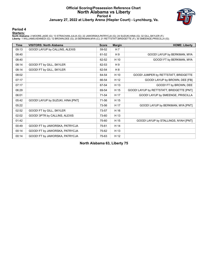# **Official Scoring/Possession Reference Chart North Alabama vs Liberty Period 4 January 27, 2022 at Liberty Arena (Hiepler Court) - Lynchburg, Va.**



#### **Period 4**

#### **Starters:**

North Alabama: 2 MOORE,JADE (G); 13 STRACHAN,JULIA (G); 22 JAWORSKA,PATRYCJA (G); 24 SUZUKI,HINA (G); 32 GILL,SKYLER (F);<br>Liberty: 1 WILLIAMS,KENNEDI (G); 12 BROWN,DEE (G); 20 BERKMAN,MYA (C); 21 RETTSTATT,BRIDGETTE (F); 3

| Time  | <b>VISITORS: North Alabama</b>    | <b>Score</b> | <b>Margin</b>  | <b>HOME: Liberty</b>                      |
|-------|-----------------------------------|--------------|----------------|-------------------------------------------|
| 09:13 | GOOD! LAYUP by CALLINS, ALEXIS    | 59-52        | H <sub>7</sub> |                                           |
| 08:40 |                                   | 61-52        | H9             | GOOD! LAYUP by BERKMAN, MYA               |
| 08:40 |                                   | 62-52        | H 10           | GOOD! FT by BERKMAN, MYA                  |
| 08:14 | GOOD! FT by GILL, SKYLER          | 62-53        | H9             |                                           |
| 08:14 | GOOD! FT by GILL, SKYLER          | 62-54        | H <sub>8</sub> |                                           |
| 08:02 |                                   | 64-54        | H 10           | GOOD! JUMPER by RETTSTATT, BRIDGETTE      |
| 07:17 |                                   | 66-54        | H 12           | GOOD! LAYUP by BROWN, DEE [FB]            |
| 07:17 |                                   | 67-54        | H 13           | GOOD! FT by BROWN, DEE                    |
| 06:29 |                                   | 69-54        | H 15           | GOOD! LAYUP by RETTSTATT, BRIDGETTE [PNT] |
| 06:01 |                                   | 71-54        | H 17           | GOOD! LAYUP by SMEENGE, PRISCILLA         |
| 05:42 | GOOD! LAYUP by SUZUKI, HINA [PNT] | 71-56        | H 15           |                                           |
| 05:22 |                                   | 73-56        | H 17           | GOOD! LAYUP by BERKMAN, MYA [PNT]         |
| 02:52 | GOOD! FT by GILL, SKYLER          | 73-57        | H 16           |                                           |
| 02:02 | GOOD! 3PTR by CALLINS, ALEXIS     | 73-60        | H 13           |                                           |
| 01:42 |                                   | 75-60        | H 15           | GOOD! LAYUP by STALLINGS, NYAH [PNT]      |
| 00:49 | GOOD! FT by JAWORSKA, PATRYCJA    | 75-61        | H 14           |                                           |
| 00:14 | GOOD! FT by JAWORSKA, PATRYCJA    | 75-62        | H 13           |                                           |
| 00:14 | GOOD! FT by JAWORSKA, PATRYCJA    | 75-63        | H 12           |                                           |

**North Alabama 63, Liberty 75**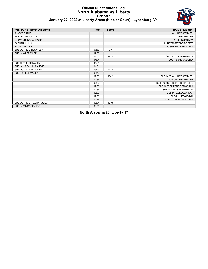# **Official Substitutions Log North Alabama vs Liberty Period 1**



# **January 27, 2022 at Liberty Arena (Hiepler Court) - Lynchburg, Va.**

| <b>VISITORS: North Alabama</b> | <b>Time</b> | <b>Score</b> | <b>HOME: Liberty</b>          |
|--------------------------------|-------------|--------------|-------------------------------|
| 2 MOORE, JADE                  |             |              | 1 WILLIAMS, KENNEDI           |
| 13 STRACHAN, JULIA             |             |              | 12 BROWN, DEE                 |
| 22 JAWORSKA, PATRYCJA          |             |              | 20 BERKMAN, MYA               |
| 24 SUZUKI.HINA                 |             |              | 21 RETTSTATT, BRIDGETTE       |
| 32 GILL, SKYLER                |             |              | 30 SMEENGE, PRISCILLA         |
| SUB OUT: 32 GILL, SKYLER       | 07:33       | $0 - 4$      |                               |
| SUB IN: 4 LEE, MACEY           | 07:33       |              |                               |
|                                | 04:01       | $8 - 12$     | SUB OUT: BERKMAN, MYA         |
|                                | 04:01       |              | SUB IN: SMUDA, BELLA          |
| SUB OUT: 4 LEE, MACEY          | 04:01       |              |                               |
| SUB IN: 15 CALLINS, ALEXIS     | 04:01       |              |                               |
| SUB OUT: 2 MOORE, JADE         | 03:43       | $8 - 12$     |                               |
| SUB IN: 4 LEE, MACEY           | 03:43       |              |                               |
|                                | 02:36       | $13 - 12$    | SUB OUT: WILLIAMS, KENNEDI    |
|                                | 02:36       |              | SUB OUT: BROWN, DEE           |
|                                | 02:36       |              | SUB OUT: RETTSTATT, BRIDGETTE |
|                                | 02:36       |              | SUB OUT: SMEENGE, PRISCILLA   |
|                                | 02:36       |              | SUB IN: LINDSTROM, NENNA      |
|                                | 02:36       |              | SUB IN: BAILEY, JORDAN        |
|                                | 02:36       |              | SUB IN: HESS, EMMA            |
|                                | 02:36       |              | SUB IN: IVERSON, ALYSSA       |
| SUB OUT: 13 STRACHAN, JULIA    | 00:51       | $17 - 15$    |                               |
| SUB IN: 2 MOORE, JADE          | 00:51       |              |                               |

**North Alabama 23, Liberty 17**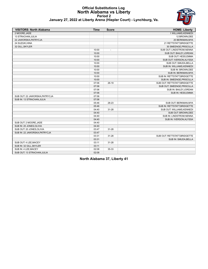## **Official Substitutions Log North Alabama vs Liberty Period 2 January 27, 2022 at Liberty Arena (Hiepler Court) - Lynchburg, Va.**



| <b>VISITORS: North Alabama</b> | <b>Time</b> | <b>Score</b>             | <b>HOME: Liberty</b>          |
|--------------------------------|-------------|--------------------------|-------------------------------|
| 2 MOORE, JADE                  |             |                          | 1 WILLIAMS, KENNEDI           |
| 13 STRACHAN, JULIA             |             |                          | 12 BROWN, DEE                 |
| 22 JAWORSKA, PATRYCJA          |             |                          | 20 BERKMAN, MYA               |
| 24 SUZUKI, HINA                |             |                          | 21 RETTSTATT, BRIDGETTE       |
| 32 GILL, SKYLER                |             |                          | 30 SMEENGE, PRISCILLA         |
|                                | 10:00       | $\overline{\phantom{a}}$ | SUB OUT: LINDSTROM, NENNA     |
|                                | 10:00       |                          | SUB OUT: BAILEY, JORDAN       |
|                                | 10:00       |                          | SUB OUT: HESS, EMMA           |
|                                | 10:00       |                          | SUB OUT: IVERSON, ALYSSA      |
|                                | 10:00       |                          | SUB OUT: SMUDA, BELLA         |
|                                | 10:00       |                          | SUB IN: WILLIAMS, KENNEDI     |
|                                | 10:00       |                          | SUB IN: BROWN, DEE            |
|                                | 10:00       |                          | SUB IN: BERKMAN, MYA          |
|                                | 10:00       |                          | SUB IN: RETTSTATT, BRIDGETTE  |
|                                | 10:00       |                          | SUB IN: SMEENGE, PRISCILLA    |
|                                | 07:06       | $26-19$                  | SUB OUT: RETTSTATT, BRIDGETTE |
|                                | 07:06       |                          | SUB OUT: SMEENGE, PRISCILLA   |
|                                | 07:06       |                          | SUB IN: BAILEY, JORDAN        |
|                                | 07:06       |                          | SUB IN: HESS, EMMA            |
| SUB OUT: 22 JAWORSKA, PATRYCJA | 07:06       |                          |                               |
| SUB IN: 13 STRACHAN, JULIA     | 07:06       |                          |                               |
|                                | 05:46       | 28-23                    | SUB OUT: BERKMAN.MYA          |
|                                | 05:46       |                          | SUB IN: RETTSTATT, BRIDGETTE  |
|                                | 04:40       | 31-28                    | SUB OUT: WILLIAMS, KENNEDI    |
|                                | 04:40       |                          | SUB OUT: BROWN, DEE           |
|                                | 04:40       |                          | SUB IN: LINDSTROM, NENNA      |
|                                | 04:40       |                          | SUB IN: IVERSON, ALYSSA       |
| SUB OUT: 2 MOORE, JADE         | 04:40       |                          |                               |
| SUB IN: 20 JONES, OLIVIA       | 04:40       |                          |                               |
| SUB OUT: 20 JONES, OLIVIA      | 03:47       | $31 - 28$                |                               |
| SUB IN: 22 JAWORSKA, PATRYCJA  | 03:47       |                          |                               |
|                                | 03:31       | $31 - 28$                | SUB OUT: RETTSTATT, BRIDGETTE |
|                                | 03:31       |                          | SUB IN: SMUDA, BELLA          |
| SUB OUT: 4 LEE, MACEY          | 03:11       | $31 - 28$                |                               |
| SUB IN: 32 GILL, SKYLER        | 03:11       |                          |                               |
| SUB IN: 4 LEE, MACEY           | 02:08       | 35-33                    |                               |
| SUB OUT: 13 STRACHAN, JULIA    | 02:08       |                          |                               |

**North Alabama 37, Liberty 41**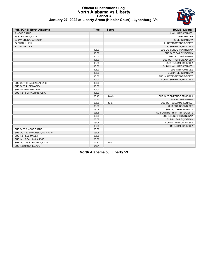# **Official Substitutions Log North Alabama vs Liberty Period 3**



|  |  |  |  |  | January 27, 2022 at Liberty Arena (Hiepler Court) - Lynchburg, Va. |  |
|--|--|--|--|--|--------------------------------------------------------------------|--|
|--|--|--|--|--|--------------------------------------------------------------------|--|

| <b>VISITORS: North Alabama</b> | <b>Time</b> | <b>Score</b> | <b>HOME: Liberty</b>          |
|--------------------------------|-------------|--------------|-------------------------------|
| 2 MOORE.JADE                   |             |              | 1 WILLIAMS, KENNEDI           |
| 13 STRACHAN, JULIA             |             |              | 12 BROWN, DEE                 |
| 22 JAWORSKA, PATRYCJA          |             |              | 20 BERKMAN, MYA               |
| 24 SUZUKI, HINA                |             |              | 21 RETTSTATT, BRIDGETTE       |
| 32 GILL, SKYLER                |             |              | 30 SMEENGE, PRISCILLA         |
|                                | 10:00       | ÷,           | SUB OUT: LINDSTROM, NENNA     |
|                                | 10:00       |              | SUB OUT: BAILEY, JORDAN       |
|                                | 10:00       |              | SUB OUT: HESS, EMMA           |
|                                | 10:00       |              | SUB OUT: IVERSON, ALYSSA      |
|                                | 10:00       |              | SUB OUT: SMUDA, BELLA         |
|                                | 10:00       |              | SUB IN: WILLIAMS, KENNEDI     |
|                                | 10:00       |              | SUB IN: BROWN, DEE            |
|                                | 10:00       |              | SUB IN: BERKMAN, MYA          |
|                                | 10:00       |              | SUB IN: RETTSTATT, BRIDGETTE  |
|                                | 10:00       |              | SUB IN: SMEENGE, PRISCILLA    |
| SUB OUT: 15 CALLINS, ALEXIS    | 10:00       |              |                               |
| SUB OUT: 4 LEE, MACEY          | 10:00       |              |                               |
| SUB IN: 2 MOORE, JADE          | 10:00       |              |                               |
| SUB IN: 13 STRACHAN, JULIA     | 10:00       |              |                               |
|                                | 05:43       | 44-49        | SUB OUT: SMEENGE, PRISCILLA   |
|                                | 05:43       |              | SUB IN: HESS, EMMA            |
|                                | 03:08       | 46-57        | SUB OUT: WILLIAMS, KENNEDI    |
|                                | 03:08       |              | SUB OUT: BROWN, DEE           |
|                                | 03:08       |              | SUB OUT: BERKMAN, MYA         |
|                                | 03:08       |              | SUB OUT: RETTSTATT, BRIDGETTE |
|                                | 03:08       |              | SUB IN: LINDSTROM, NENNA      |
|                                | 03:08       |              | SUB IN: BAILEY, JORDAN        |
|                                | 03:08       |              | SUB IN: IVERSON, ALYSSA       |
|                                | 03:08       |              | SUB IN: SMUDA, BELLA          |
| SUB OUT: 2 MOORE, JADE         | 03:08       |              |                               |
| SUB OUT: 22 JAWORSKA, PATRYCJA | 03:08       |              |                               |
| SUB IN: 4 LEE, MACEY           | 03:08       |              |                               |
| SUB IN: 15 CALLINS, ALEXIS     | 03:08       |              |                               |
| SUB OUT: 13 STRACHAN, JULIA    | 01:31       | 46-57        |                               |
| SUB IN: 2 MOORE, JADE          | 01:31       |              |                               |

**North Alabama 50, Liberty 59**